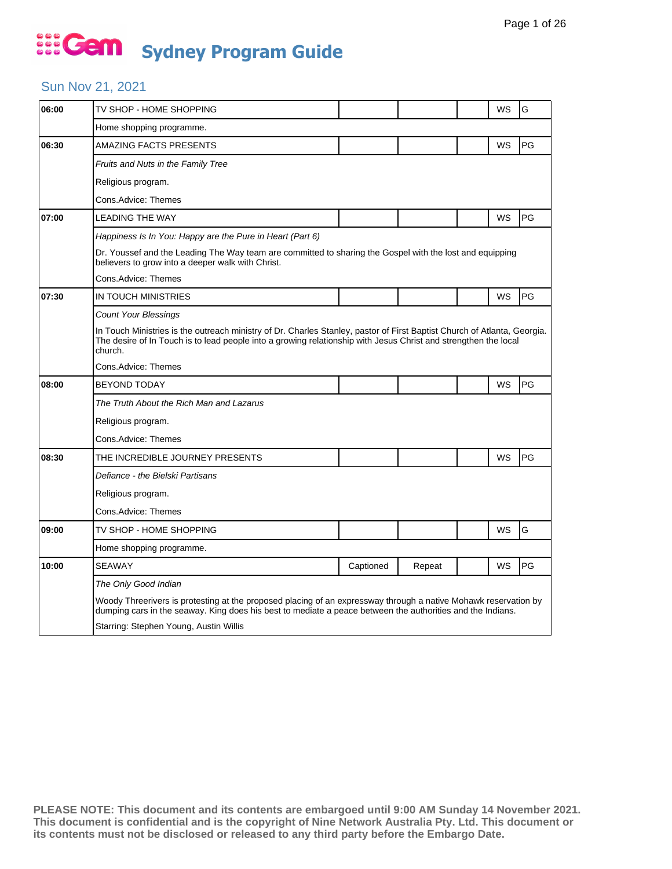## Sun Nov 21, 2021

| 06:00 | TV SHOP - HOME SHOPPING                                                                                                                                                                                                                                |           |        |  | WS | G  |  |  |  |
|-------|--------------------------------------------------------------------------------------------------------------------------------------------------------------------------------------------------------------------------------------------------------|-----------|--------|--|----|----|--|--|--|
|       | Home shopping programme.                                                                                                                                                                                                                               |           |        |  |    |    |  |  |  |
| 06:30 | AMAZING FACTS PRESENTS                                                                                                                                                                                                                                 |           |        |  | WS | PG |  |  |  |
|       | <b>Fruits and Nuts in the Family Tree</b>                                                                                                                                                                                                              |           |        |  |    |    |  |  |  |
|       | Religious program.                                                                                                                                                                                                                                     |           |        |  |    |    |  |  |  |
|       | Cons.Advice: Themes                                                                                                                                                                                                                                    |           |        |  |    |    |  |  |  |
| 07:00 | <b>LEADING THE WAY</b>                                                                                                                                                                                                                                 |           |        |  | WS | PG |  |  |  |
|       | Happiness Is In You: Happy are the Pure in Heart (Part 6)                                                                                                                                                                                              |           |        |  |    |    |  |  |  |
|       | Dr. Youssef and the Leading The Way team are committed to sharing the Gospel with the lost and equipping<br>believers to grow into a deeper walk with Christ.                                                                                          |           |        |  |    |    |  |  |  |
|       | Cons.Advice: Themes                                                                                                                                                                                                                                    |           |        |  |    |    |  |  |  |
| 07:30 | IN TOUCH MINISTRIES                                                                                                                                                                                                                                    |           |        |  | WS | PG |  |  |  |
|       | <b>Count Your Blessings</b>                                                                                                                                                                                                                            |           |        |  |    |    |  |  |  |
|       | In Touch Ministries is the outreach ministry of Dr. Charles Stanley, pastor of First Baptist Church of Atlanta, Georgia.<br>The desire of In Touch is to lead people into a growing relationship with Jesus Christ and strengthen the local<br>church. |           |        |  |    |    |  |  |  |
|       | Cons.Advice: Themes                                                                                                                                                                                                                                    |           |        |  |    |    |  |  |  |
| 08:00 | <b>BEYOND TODAY</b>                                                                                                                                                                                                                                    |           |        |  | WS | PG |  |  |  |
|       | The Truth About the Rich Man and Lazarus                                                                                                                                                                                                               |           |        |  |    |    |  |  |  |
|       | Religious program.                                                                                                                                                                                                                                     |           |        |  |    |    |  |  |  |
|       | Cons.Advice: Themes                                                                                                                                                                                                                                    |           |        |  |    |    |  |  |  |
| 08:30 | THE INCREDIBLE JOURNEY PRESENTS                                                                                                                                                                                                                        |           |        |  | WS | PG |  |  |  |
|       | Defiance - the Bielski Partisans                                                                                                                                                                                                                       |           |        |  |    |    |  |  |  |
|       | Religious program.                                                                                                                                                                                                                                     |           |        |  |    |    |  |  |  |
|       | Cons.Advice: Themes                                                                                                                                                                                                                                    |           |        |  |    |    |  |  |  |
| 09:00 | TV SHOP - HOME SHOPPING                                                                                                                                                                                                                                |           |        |  | WS | G  |  |  |  |
|       | Home shopping programme.                                                                                                                                                                                                                               |           |        |  |    |    |  |  |  |
| 10:00 | <b>SEAWAY</b>                                                                                                                                                                                                                                          | Captioned | Repeat |  | WS | PG |  |  |  |
|       | The Only Good Indian                                                                                                                                                                                                                                   |           |        |  |    |    |  |  |  |
|       | Woody Threerivers is protesting at the proposed placing of an expressway through a native Mohawk reservation by<br>dumping cars in the seaway. King does his best to mediate a peace between the authorities and the Indians.                          |           |        |  |    |    |  |  |  |
|       | Starring: Stephen Young, Austin Willis                                                                                                                                                                                                                 |           |        |  |    |    |  |  |  |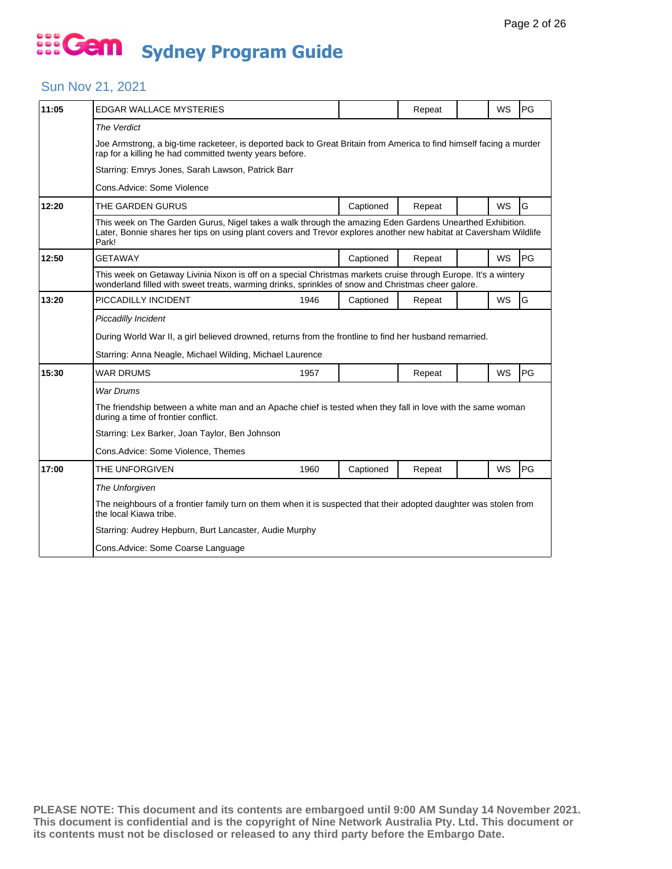## Sun Nov 21, 2021

| 11:05 | <b>EDGAR WALLACE MYSTERIES</b>                                                                                                                                                                                                         |      |           | Repeat |  | <b>WS</b> | PG |  |  |  |
|-------|----------------------------------------------------------------------------------------------------------------------------------------------------------------------------------------------------------------------------------------|------|-----------|--------|--|-----------|----|--|--|--|
|       | The Verdict                                                                                                                                                                                                                            |      |           |        |  |           |    |  |  |  |
|       | Joe Armstrong, a big-time racketeer, is deported back to Great Britain from America to find himself facing a murder<br>rap for a killing he had committed twenty years before.                                                         |      |           |        |  |           |    |  |  |  |
|       | Starring: Emrys Jones, Sarah Lawson, Patrick Barr                                                                                                                                                                                      |      |           |        |  |           |    |  |  |  |
|       | Cons.Advice: Some Violence                                                                                                                                                                                                             |      |           |        |  |           |    |  |  |  |
| 12:20 | THE GARDEN GURUS                                                                                                                                                                                                                       |      | Captioned | Repeat |  | <b>WS</b> | G  |  |  |  |
|       | This week on The Garden Gurus, Nigel takes a walk through the amazing Eden Gardens Unearthed Exhibition.<br>Later, Bonnie shares her tips on using plant covers and Trevor explores another new habitat at Caversham Wildlife<br>Park! |      |           |        |  |           |    |  |  |  |
| 12:50 | <b>GETAWAY</b>                                                                                                                                                                                                                         |      | Captioned | Repeat |  | <b>WS</b> | PG |  |  |  |
|       | This week on Getaway Livinia Nixon is off on a special Christmas markets cruise through Europe. It's a wintery<br>wonderland filled with sweet treats, warming drinks, sprinkles of snow and Christmas cheer galore.                   |      |           |        |  |           |    |  |  |  |
| 13:20 | PICCADILLY INCIDENT                                                                                                                                                                                                                    | 1946 | Captioned | Repeat |  | WS        | G  |  |  |  |
|       | Piccadilly Incident                                                                                                                                                                                                                    |      |           |        |  |           |    |  |  |  |
|       | During World War II, a girl believed drowned, returns from the frontline to find her husband remarried.                                                                                                                                |      |           |        |  |           |    |  |  |  |
|       | Starring: Anna Neagle, Michael Wilding, Michael Laurence                                                                                                                                                                               |      |           |        |  |           |    |  |  |  |
| 15:30 | WAR DRUMS                                                                                                                                                                                                                              | 1957 |           | Repeat |  | WS        | PG |  |  |  |
|       | <b>War Drums</b>                                                                                                                                                                                                                       |      |           |        |  |           |    |  |  |  |
|       | The friendship between a white man and an Apache chief is tested when they fall in love with the same woman<br>during a time of frontier conflict.                                                                                     |      |           |        |  |           |    |  |  |  |
|       | Starring: Lex Barker, Joan Taylor, Ben Johnson                                                                                                                                                                                         |      |           |        |  |           |    |  |  |  |
|       | Cons. Advice: Some Violence, Themes                                                                                                                                                                                                    |      |           |        |  |           |    |  |  |  |
| 17:00 | THE UNFORGIVEN                                                                                                                                                                                                                         | 1960 | Captioned | Repeat |  | WS        | PG |  |  |  |
|       | The Unforgiven                                                                                                                                                                                                                         |      |           |        |  |           |    |  |  |  |
|       | The neighbours of a frontier family turn on them when it is suspected that their adopted daughter was stolen from<br>the local Kiawa tribe.                                                                                            |      |           |        |  |           |    |  |  |  |
|       | Starring: Audrey Hepburn, Burt Lancaster, Audie Murphy                                                                                                                                                                                 |      |           |        |  |           |    |  |  |  |
|       | Cons.Advice: Some Coarse Language                                                                                                                                                                                                      |      |           |        |  |           |    |  |  |  |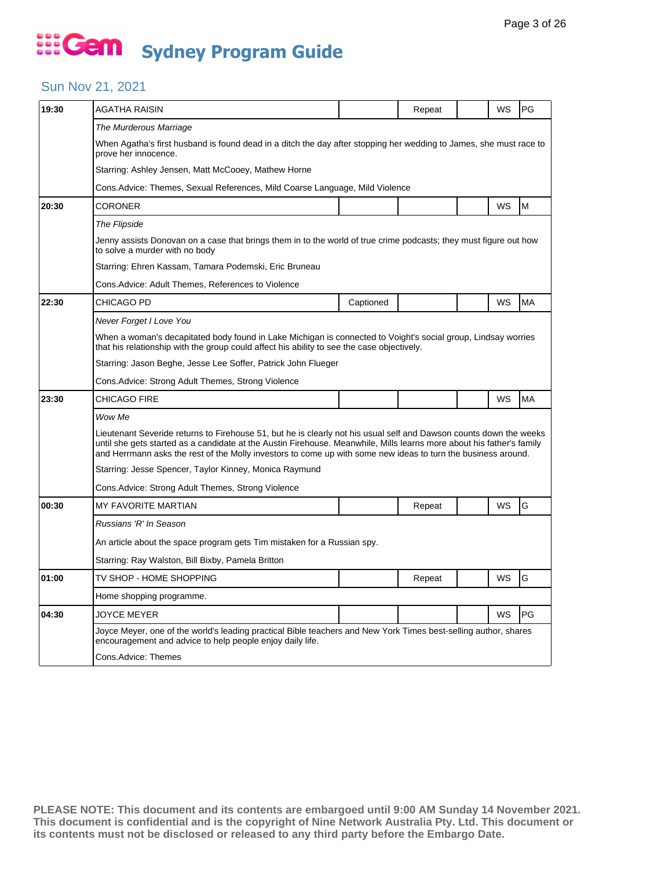## Sun Nov 21, 2021

| 19:30 | AGATHA RAISIN                                                                                                                                                                                                                                                                                                                                                |                                                                                                                    | Repeat |  | WS | PG        |  |  |  |  |
|-------|--------------------------------------------------------------------------------------------------------------------------------------------------------------------------------------------------------------------------------------------------------------------------------------------------------------------------------------------------------------|--------------------------------------------------------------------------------------------------------------------|--------|--|----|-----------|--|--|--|--|
|       | The Murderous Marriage                                                                                                                                                                                                                                                                                                                                       |                                                                                                                    |        |  |    |           |  |  |  |  |
|       | prove her innocence.                                                                                                                                                                                                                                                                                                                                         | When Agatha's first husband is found dead in a ditch the day after stopping her wedding to James, she must race to |        |  |    |           |  |  |  |  |
|       | Starring: Ashley Jensen, Matt McCooey, Mathew Horne                                                                                                                                                                                                                                                                                                          |                                                                                                                    |        |  |    |           |  |  |  |  |
|       | Cons.Advice: Themes, Sexual References, Mild Coarse Language, Mild Violence                                                                                                                                                                                                                                                                                  |                                                                                                                    |        |  |    |           |  |  |  |  |
| 20:30 | <b>CORONER</b>                                                                                                                                                                                                                                                                                                                                               |                                                                                                                    |        |  | WS | M         |  |  |  |  |
|       | The Flipside                                                                                                                                                                                                                                                                                                                                                 |                                                                                                                    |        |  |    |           |  |  |  |  |
|       | Jenny assists Donovan on a case that brings them in to the world of true crime podcasts; they must figure out how<br>to solve a murder with no body                                                                                                                                                                                                          |                                                                                                                    |        |  |    |           |  |  |  |  |
|       | Starring: Ehren Kassam, Tamara Podemski, Eric Bruneau                                                                                                                                                                                                                                                                                                        |                                                                                                                    |        |  |    |           |  |  |  |  |
|       | Cons. Advice: Adult Themes, References to Violence                                                                                                                                                                                                                                                                                                           |                                                                                                                    |        |  |    |           |  |  |  |  |
| 22:30 | CHICAGO PD                                                                                                                                                                                                                                                                                                                                                   | Captioned                                                                                                          |        |  | WS | <b>MA</b> |  |  |  |  |
|       | Never Forget I Love You                                                                                                                                                                                                                                                                                                                                      |                                                                                                                    |        |  |    |           |  |  |  |  |
|       | When a woman's decapitated body found in Lake Michigan is connected to Voight's social group, Lindsay worries<br>that his relationship with the group could affect his ability to see the case objectively.                                                                                                                                                  |                                                                                                                    |        |  |    |           |  |  |  |  |
|       | Starring: Jason Beghe, Jesse Lee Soffer, Patrick John Flueger                                                                                                                                                                                                                                                                                                |                                                                                                                    |        |  |    |           |  |  |  |  |
|       | Cons. Advice: Strong Adult Themes, Strong Violence                                                                                                                                                                                                                                                                                                           |                                                                                                                    |        |  |    |           |  |  |  |  |
| 23:30 | CHICAGO FIRE                                                                                                                                                                                                                                                                                                                                                 |                                                                                                                    |        |  | WS | <b>MA</b> |  |  |  |  |
|       | Wow Me                                                                                                                                                                                                                                                                                                                                                       |                                                                                                                    |        |  |    |           |  |  |  |  |
|       | Lieutenant Severide returns to Firehouse 51, but he is clearly not his usual self and Dawson counts down the weeks<br>until she gets started as a candidate at the Austin Firehouse. Meanwhile, Mills learns more about his father's family<br>and Herrmann asks the rest of the Molly investors to come up with some new ideas to turn the business around. |                                                                                                                    |        |  |    |           |  |  |  |  |
|       | Starring: Jesse Spencer, Taylor Kinney, Monica Raymund                                                                                                                                                                                                                                                                                                       |                                                                                                                    |        |  |    |           |  |  |  |  |
|       | Cons. Advice: Strong Adult Themes, Strong Violence                                                                                                                                                                                                                                                                                                           |                                                                                                                    |        |  |    |           |  |  |  |  |
| 00:30 | <b>MY FAVORITE MARTIAN</b>                                                                                                                                                                                                                                                                                                                                   |                                                                                                                    | Repeat |  | WS | G         |  |  |  |  |
|       | Russians 'R' In Season                                                                                                                                                                                                                                                                                                                                       |                                                                                                                    |        |  |    |           |  |  |  |  |
|       | An article about the space program gets Tim mistaken for a Russian spy.                                                                                                                                                                                                                                                                                      |                                                                                                                    |        |  |    |           |  |  |  |  |
|       | Starring: Ray Walston, Bill Bixby, Pamela Britton                                                                                                                                                                                                                                                                                                            |                                                                                                                    |        |  |    |           |  |  |  |  |
| 01:00 | TV SHOP - HOME SHOPPING                                                                                                                                                                                                                                                                                                                                      |                                                                                                                    | Repeat |  | WS | G         |  |  |  |  |
|       | Home shopping programme.                                                                                                                                                                                                                                                                                                                                     |                                                                                                                    |        |  |    |           |  |  |  |  |
| 04:30 | <b>JOYCE MEYER</b>                                                                                                                                                                                                                                                                                                                                           |                                                                                                                    |        |  | WS | PG        |  |  |  |  |
|       | Joyce Meyer, one of the world's leading practical Bible teachers and New York Times best-selling author, shares<br>encouragement and advice to help people enjoy daily life.                                                                                                                                                                                 |                                                                                                                    |        |  |    |           |  |  |  |  |
|       | Cons.Advice: Themes                                                                                                                                                                                                                                                                                                                                          |                                                                                                                    |        |  |    |           |  |  |  |  |
|       |                                                                                                                                                                                                                                                                                                                                                              |                                                                                                                    |        |  |    |           |  |  |  |  |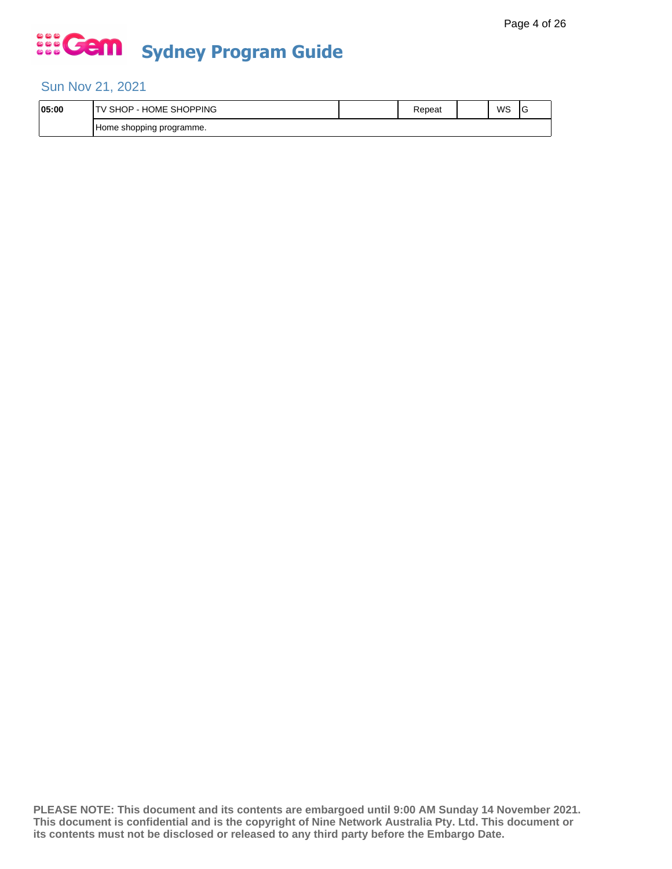## Sun Nov 21, 2021

| 05:00 | SHOPPING<br>HOME<br>SНC<br>∟ו        | ≺epeat | WS | c |
|-------|--------------------------------------|--------|----|---|
|       | j programme.<br>shopping<br>. Home . |        |    |   |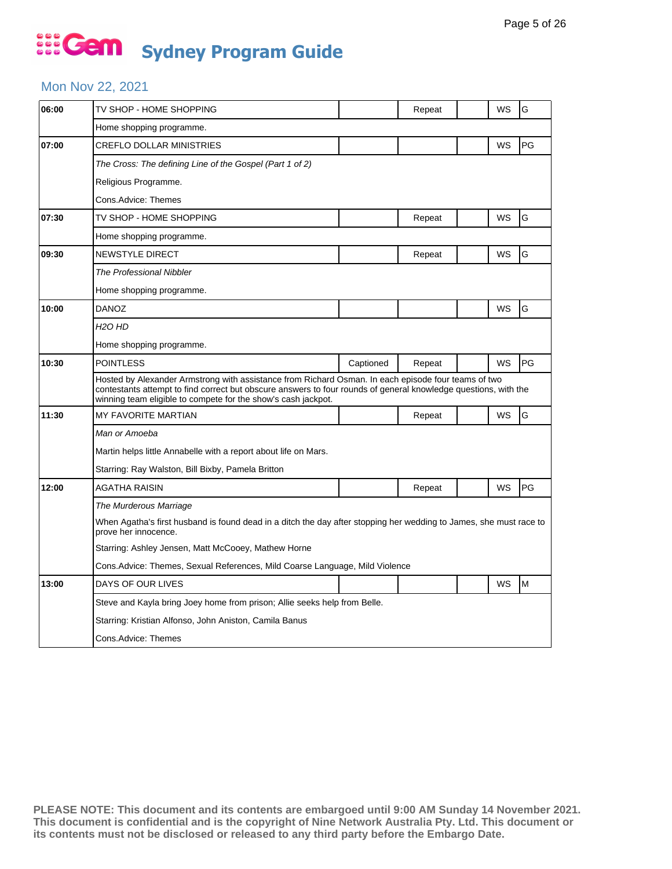## ... Gem **Sydney Program Guide**

#### Mon Nov 22, 2021

| 06:00 | TV SHOP - HOME SHOPPING                                                                                                                                                                                                                                                                 |           | Repeat |  | WS | G  |  |  |
|-------|-----------------------------------------------------------------------------------------------------------------------------------------------------------------------------------------------------------------------------------------------------------------------------------------|-----------|--------|--|----|----|--|--|
|       | Home shopping programme.                                                                                                                                                                                                                                                                |           |        |  |    |    |  |  |
| 07:00 | <b>CREFLO DOLLAR MINISTRIES</b>                                                                                                                                                                                                                                                         |           |        |  | WS | PG |  |  |
|       | The Cross: The defining Line of the Gospel (Part 1 of 2)                                                                                                                                                                                                                                |           |        |  |    |    |  |  |
|       | Religious Programme.                                                                                                                                                                                                                                                                    |           |        |  |    |    |  |  |
|       | Cons.Advice: Themes                                                                                                                                                                                                                                                                     |           |        |  |    |    |  |  |
| 07:30 | TV SHOP - HOME SHOPPING                                                                                                                                                                                                                                                                 |           | Repeat |  | WS | G  |  |  |
|       | Home shopping programme.                                                                                                                                                                                                                                                                |           |        |  |    |    |  |  |
| 09:30 | <b>NEWSTYLE DIRECT</b>                                                                                                                                                                                                                                                                  |           | Repeat |  | WS | G  |  |  |
|       | The Professional Nibbler                                                                                                                                                                                                                                                                |           |        |  |    |    |  |  |
|       | Home shopping programme.                                                                                                                                                                                                                                                                |           |        |  |    |    |  |  |
| 10:00 | <b>DANOZ</b>                                                                                                                                                                                                                                                                            |           |        |  | WS | G  |  |  |
|       | H2O HD                                                                                                                                                                                                                                                                                  |           |        |  |    |    |  |  |
|       | Home shopping programme.                                                                                                                                                                                                                                                                |           |        |  |    |    |  |  |
| 10:30 | <b>POINTLESS</b>                                                                                                                                                                                                                                                                        | Captioned | Repeat |  | WS | PG |  |  |
|       | Hosted by Alexander Armstrong with assistance from Richard Osman. In each episode four teams of two<br>contestants attempt to find correct but obscure answers to four rounds of general knowledge questions, with the<br>winning team eligible to compete for the show's cash jackpot. |           |        |  |    |    |  |  |
| 11:30 | MY FAVORITE MARTIAN                                                                                                                                                                                                                                                                     |           | Repeat |  | WS | G  |  |  |
|       | Man or Amoeba                                                                                                                                                                                                                                                                           |           |        |  |    |    |  |  |
|       | Martin helps little Annabelle with a report about life on Mars.                                                                                                                                                                                                                         |           |        |  |    |    |  |  |
|       | Starring: Ray Walston, Bill Bixby, Pamela Britton                                                                                                                                                                                                                                       |           |        |  |    |    |  |  |
| 12:00 | AGATHA RAISIN                                                                                                                                                                                                                                                                           |           | Repeat |  | WS | PG |  |  |
|       | The Murderous Marriage                                                                                                                                                                                                                                                                  |           |        |  |    |    |  |  |
|       | When Agatha's first husband is found dead in a ditch the day after stopping her wedding to James, she must race to<br>prove her innocence.                                                                                                                                              |           |        |  |    |    |  |  |
|       | Starring: Ashley Jensen, Matt McCooey, Mathew Horne                                                                                                                                                                                                                                     |           |        |  |    |    |  |  |
|       | Cons. Advice: Themes, Sexual References, Mild Coarse Language, Mild Violence                                                                                                                                                                                                            |           |        |  |    |    |  |  |
| 13:00 | DAYS OF OUR LIVES                                                                                                                                                                                                                                                                       |           |        |  | WS | M  |  |  |
|       | Steve and Kayla bring Joey home from prison; Allie seeks help from Belle.                                                                                                                                                                                                               |           |        |  |    |    |  |  |
|       | Starring: Kristian Alfonso, John Aniston, Camila Banus                                                                                                                                                                                                                                  |           |        |  |    |    |  |  |
|       | Cons.Advice: Themes                                                                                                                                                                                                                                                                     |           |        |  |    |    |  |  |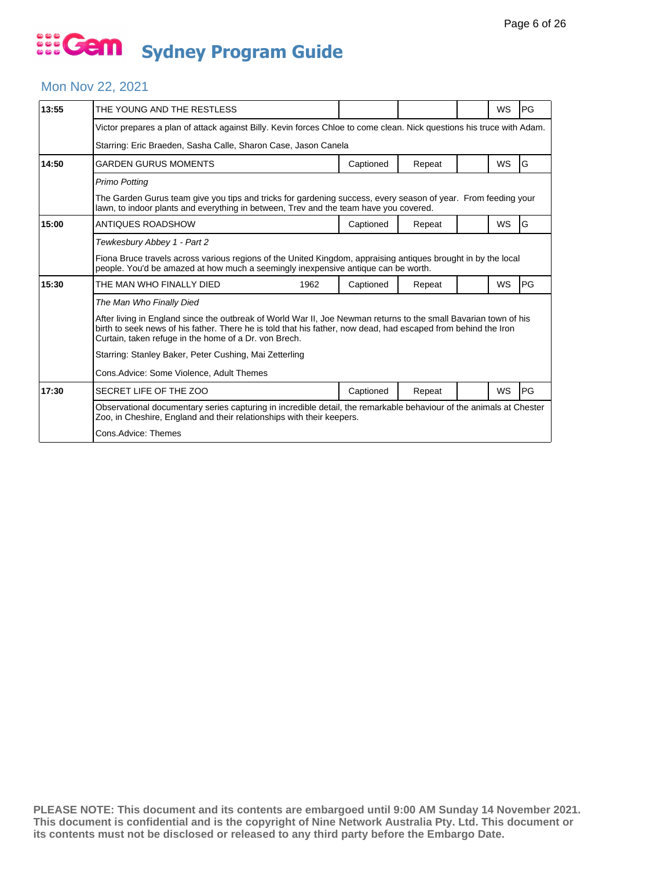#### Mon Nov 22, 2021

| 13:55                                                                                                                                                                                              | THE YOUNG AND THE RESTLESS                                                                                                                                                                                                                                                                                                                                                                                                    |           |        |  | <b>WS</b> | <b>PG</b> |  |  |
|----------------------------------------------------------------------------------------------------------------------------------------------------------------------------------------------------|-------------------------------------------------------------------------------------------------------------------------------------------------------------------------------------------------------------------------------------------------------------------------------------------------------------------------------------------------------------------------------------------------------------------------------|-----------|--------|--|-----------|-----------|--|--|
|                                                                                                                                                                                                    | Victor prepares a plan of attack against Billy. Kevin forces Chloe to come clean. Nick questions his truce with Adam.                                                                                                                                                                                                                                                                                                         |           |        |  |           |           |  |  |
|                                                                                                                                                                                                    | Starring: Eric Braeden, Sasha Calle, Sharon Case, Jason Canela                                                                                                                                                                                                                                                                                                                                                                |           |        |  |           |           |  |  |
| 14:50                                                                                                                                                                                              | <b>GARDEN GURUS MOMENTS</b>                                                                                                                                                                                                                                                                                                                                                                                                   | Captioned | Repeat |  | <b>WS</b> | lG.       |  |  |
|                                                                                                                                                                                                    | <b>Primo Potting</b>                                                                                                                                                                                                                                                                                                                                                                                                          |           |        |  |           |           |  |  |
|                                                                                                                                                                                                    | The Garden Gurus team give you tips and tricks for gardening success, every season of year. From feeding your<br>lawn, to indoor plants and everything in between, Trey and the team have you covered.                                                                                                                                                                                                                        |           |        |  |           |           |  |  |
| 15:00                                                                                                                                                                                              | ANTIQUES ROADSHOW                                                                                                                                                                                                                                                                                                                                                                                                             | Captioned | Repeat |  | <b>WS</b> | G         |  |  |
|                                                                                                                                                                                                    | Tewkesbury Abbey 1 - Part 2                                                                                                                                                                                                                                                                                                                                                                                                   |           |        |  |           |           |  |  |
| Fiona Bruce travels across various regions of the United Kingdom, appraising antiques brought in by the local<br>people. You'd be amazed at how much a seemingly inexpensive antique can be worth. |                                                                                                                                                                                                                                                                                                                                                                                                                               |           |        |  |           |           |  |  |
| 15:30                                                                                                                                                                                              | THE MAN WHO FINALLY DIED<br>1962                                                                                                                                                                                                                                                                                                                                                                                              | Captioned | Repeat |  | WS        | <b>PG</b> |  |  |
|                                                                                                                                                                                                    | The Man Who Finally Died<br>After living in England since the outbreak of World War II, Joe Newman returns to the small Bavarian town of his<br>birth to seek news of his father. There he is told that his father, now dead, had escaped from behind the Iron<br>Curtain, taken refuge in the home of a Dr. von Brech.<br>Starring: Stanley Baker, Peter Cushing, Mai Zetterling<br>Cons.Advice: Some Violence, Adult Themes |           |        |  |           |           |  |  |
| 17:30                                                                                                                                                                                              | SECRET LIFE OF THE ZOO                                                                                                                                                                                                                                                                                                                                                                                                        | Captioned | Repeat |  | <b>WS</b> | PG        |  |  |
|                                                                                                                                                                                                    | Observational documentary series capturing in incredible detail, the remarkable behaviour of the animals at Chester<br>Zoo, in Cheshire, England and their relationships with their keepers.<br>Cons.Advice: Themes                                                                                                                                                                                                           |           |        |  |           |           |  |  |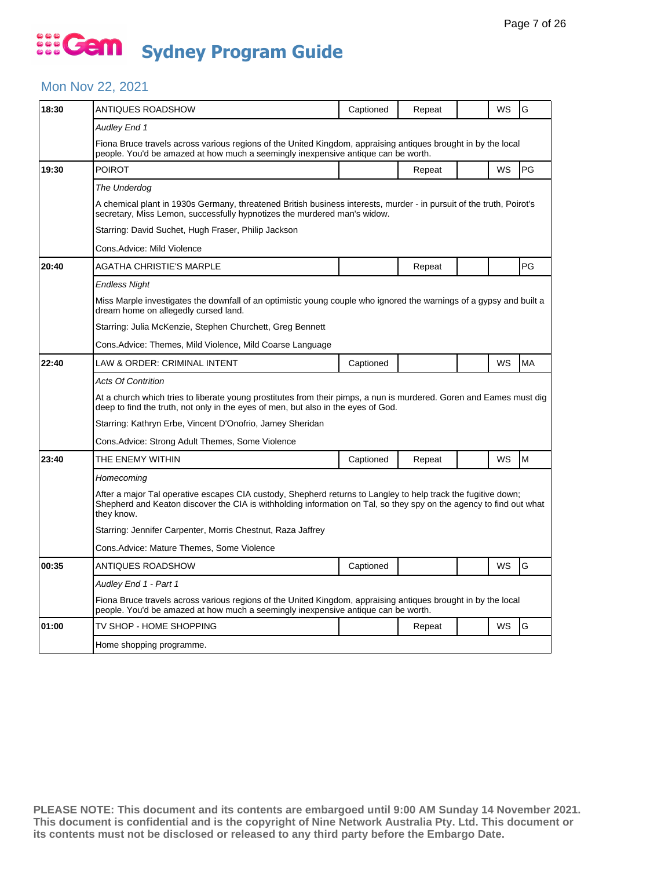## ... Gem **Sydney Program Guide**

#### Mon Nov 22, 2021

| 18:30 | ANTIQUES ROADSHOW                                                                                                                                                                                                                                 | Captioned | Repeat |  | WS        | G  |  |  |  |
|-------|---------------------------------------------------------------------------------------------------------------------------------------------------------------------------------------------------------------------------------------------------|-----------|--------|--|-----------|----|--|--|--|
|       | Audley End 1                                                                                                                                                                                                                                      |           |        |  |           |    |  |  |  |
|       | Fiona Bruce travels across various regions of the United Kingdom, appraising antiques brought in by the local<br>people. You'd be amazed at how much a seemingly inexpensive antique can be worth.                                                |           |        |  |           |    |  |  |  |
| 19:30 | <b>POIROT</b>                                                                                                                                                                                                                                     |           | Repeat |  | <b>WS</b> | PG |  |  |  |
|       | The Underdog                                                                                                                                                                                                                                      |           |        |  |           |    |  |  |  |
|       | A chemical plant in 1930s Germany, threatened British business interests, murder - in pursuit of the truth, Poirot's<br>secretary, Miss Lemon, successfully hypnotizes the murdered man's widow.                                                  |           |        |  |           |    |  |  |  |
|       | Starring: David Suchet, Hugh Fraser, Philip Jackson                                                                                                                                                                                               |           |        |  |           |    |  |  |  |
|       | Cons.Advice: Mild Violence                                                                                                                                                                                                                        |           |        |  |           |    |  |  |  |
| 20:40 | AGATHA CHRISTIE'S MARPLE                                                                                                                                                                                                                          |           | Repeat |  |           | PG |  |  |  |
|       | Endless Night                                                                                                                                                                                                                                     |           |        |  |           |    |  |  |  |
|       | Miss Marple investigates the downfall of an optimistic young couple who ignored the warnings of a gypsy and built a<br>dream home on allegedly cursed land.                                                                                       |           |        |  |           |    |  |  |  |
|       | Starring: Julia McKenzie, Stephen Churchett, Greg Bennett                                                                                                                                                                                         |           |        |  |           |    |  |  |  |
|       | Cons.Advice: Themes, Mild Violence, Mild Coarse Language                                                                                                                                                                                          |           |        |  |           |    |  |  |  |
| 22:40 | LAW & ORDER: CRIMINAL INTENT                                                                                                                                                                                                                      | Captioned |        |  | <b>WS</b> | MA |  |  |  |
|       | <b>Acts Of Contrition</b>                                                                                                                                                                                                                         |           |        |  |           |    |  |  |  |
|       | At a church which tries to liberate young prostitutes from their pimps, a nun is murdered. Goren and Eames must dig<br>deep to find the truth, not only in the eyes of men, but also in the eyes of God.                                          |           |        |  |           |    |  |  |  |
|       | Starring: Kathryn Erbe, Vincent D'Onofrio, Jamey Sheridan                                                                                                                                                                                         |           |        |  |           |    |  |  |  |
|       | Cons.Advice: Strong Adult Themes, Some Violence                                                                                                                                                                                                   |           |        |  |           |    |  |  |  |
| 23:40 | THE ENEMY WITHIN                                                                                                                                                                                                                                  | Captioned | Repeat |  | WS        | M  |  |  |  |
|       | Homecoming                                                                                                                                                                                                                                        |           |        |  |           |    |  |  |  |
|       | After a major Tal operative escapes CIA custody, Shepherd returns to Langley to help track the fugitive down;<br>Shepherd and Keaton discover the CIA is withholding information on Tal, so they spy on the agency to find out what<br>they know. |           |        |  |           |    |  |  |  |
|       | Starring: Jennifer Carpenter, Morris Chestnut, Raza Jaffrey                                                                                                                                                                                       |           |        |  |           |    |  |  |  |
|       | Cons.Advice: Mature Themes, Some Violence                                                                                                                                                                                                         |           |        |  |           |    |  |  |  |
| 00:35 | ANTIQUES ROADSHOW                                                                                                                                                                                                                                 | Captioned |        |  | WS        | G  |  |  |  |
|       | Audley End 1 - Part 1                                                                                                                                                                                                                             |           |        |  |           |    |  |  |  |
|       | Fiona Bruce travels across various regions of the United Kingdom, appraising antiques brought in by the local<br>people. You'd be amazed at how much a seemingly inexpensive antique can be worth.                                                |           |        |  |           |    |  |  |  |
| 01:00 | TV SHOP - HOME SHOPPING                                                                                                                                                                                                                           |           | Repeat |  | WS        | G  |  |  |  |
|       | Home shopping programme.                                                                                                                                                                                                                          |           |        |  |           |    |  |  |  |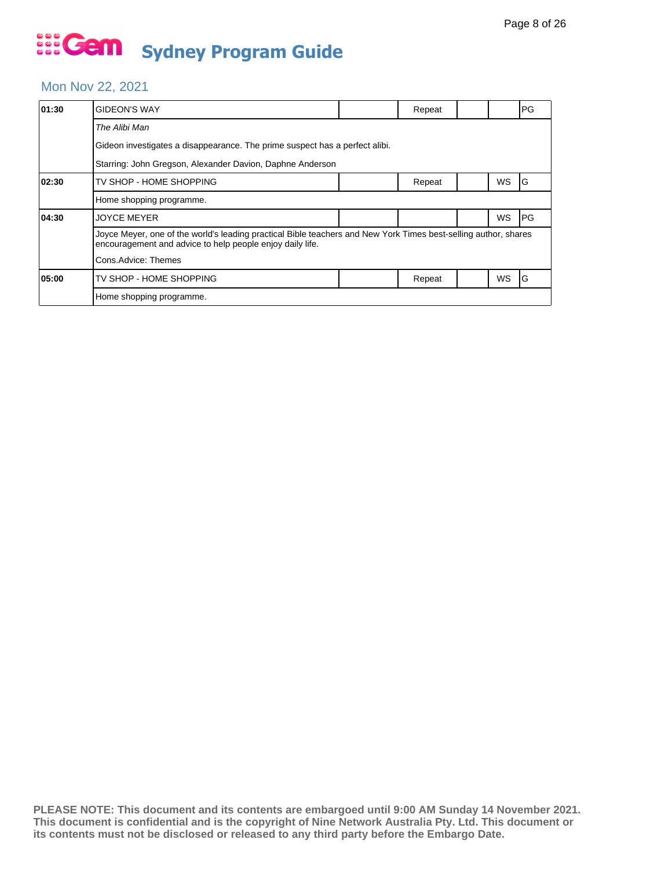### Mon Nov 22, 2021

| 01:30 | <b>GIDEON'S WAY</b>                                                                                                                                                          |  | Repeat |  |    | PG         |  |  |  |
|-------|------------------------------------------------------------------------------------------------------------------------------------------------------------------------------|--|--------|--|----|------------|--|--|--|
|       | The Alibi Man                                                                                                                                                                |  |        |  |    |            |  |  |  |
|       | Gideon investigates a disappearance. The prime suspect has a perfect alibi.                                                                                                  |  |        |  |    |            |  |  |  |
|       | Starring: John Gregson, Alexander Davion, Daphne Anderson                                                                                                                    |  |        |  |    |            |  |  |  |
| 02:30 | TV SHOP - HOME SHOPPING                                                                                                                                                      |  | Repeat |  | WS | IG         |  |  |  |
|       | Home shopping programme.                                                                                                                                                     |  |        |  |    |            |  |  |  |
| 04:30 | <b>JOYCE MEYER</b>                                                                                                                                                           |  |        |  | WS | <b>IPG</b> |  |  |  |
|       | Joyce Meyer, one of the world's leading practical Bible teachers and New York Times best-selling author, shares<br>encouragement and advice to help people enjoy daily life. |  |        |  |    |            |  |  |  |
|       | Cons.Advice: Themes                                                                                                                                                          |  |        |  |    |            |  |  |  |
| 05:00 | TV SHOP - HOME SHOPPING                                                                                                                                                      |  | Repeat |  | WS | IG         |  |  |  |
|       | Home shopping programme.                                                                                                                                                     |  |        |  |    |            |  |  |  |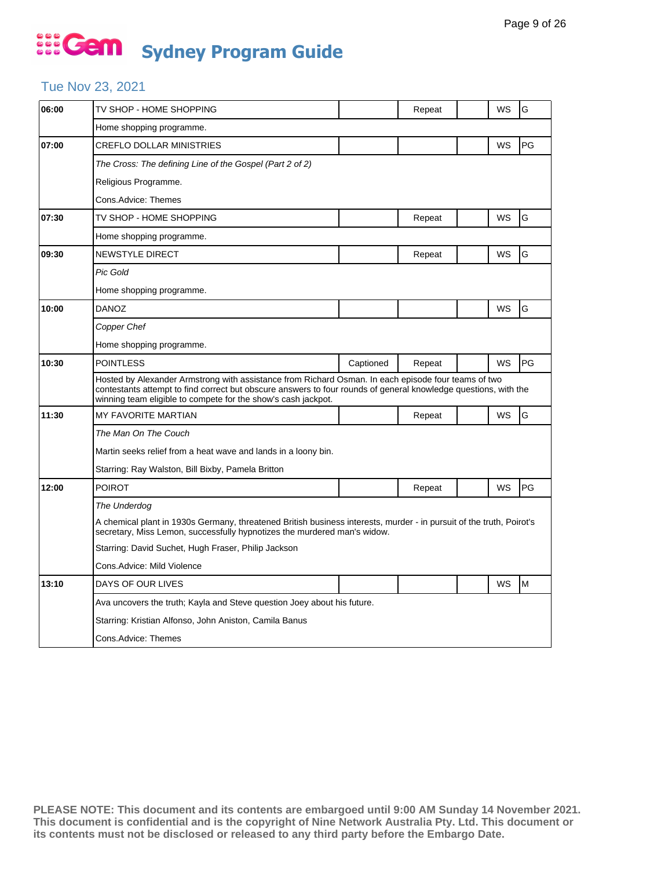### Tue Nov 23, 2021

| 06:00 | TV SHOP - HOME SHOPPING                                                                                                                                                                                                                                                                 |           | Repeat |  | WS        | G  |  |  |
|-------|-----------------------------------------------------------------------------------------------------------------------------------------------------------------------------------------------------------------------------------------------------------------------------------------|-----------|--------|--|-----------|----|--|--|
|       | Home shopping programme.                                                                                                                                                                                                                                                                |           |        |  |           |    |  |  |
| 07:00 | <b>CREFLO DOLLAR MINISTRIES</b>                                                                                                                                                                                                                                                         |           |        |  | WS        | PG |  |  |
|       | The Cross: The defining Line of the Gospel (Part 2 of 2)                                                                                                                                                                                                                                |           |        |  |           |    |  |  |
|       | Religious Programme.                                                                                                                                                                                                                                                                    |           |        |  |           |    |  |  |
|       | Cons.Advice: Themes                                                                                                                                                                                                                                                                     |           |        |  |           |    |  |  |
| 07:30 | TV SHOP - HOME SHOPPING                                                                                                                                                                                                                                                                 |           | Repeat |  | WS        | G  |  |  |
|       | Home shopping programme.                                                                                                                                                                                                                                                                |           |        |  |           |    |  |  |
| 09:30 | NEWSTYLE DIRECT                                                                                                                                                                                                                                                                         |           | Repeat |  | WS        | G  |  |  |
|       | Pic Gold                                                                                                                                                                                                                                                                                |           |        |  |           |    |  |  |
|       | Home shopping programme.                                                                                                                                                                                                                                                                |           |        |  |           |    |  |  |
| 10:00 | <b>DANOZ</b>                                                                                                                                                                                                                                                                            |           |        |  | <b>WS</b> | G  |  |  |
|       | Copper Chef                                                                                                                                                                                                                                                                             |           |        |  |           |    |  |  |
|       | Home shopping programme.                                                                                                                                                                                                                                                                |           |        |  |           |    |  |  |
| 10:30 | <b>POINTLESS</b>                                                                                                                                                                                                                                                                        | Captioned | Repeat |  | WS        | PG |  |  |
|       | Hosted by Alexander Armstrong with assistance from Richard Osman. In each episode four teams of two<br>contestants attempt to find correct but obscure answers to four rounds of general knowledge questions, with the<br>winning team eligible to compete for the show's cash jackpot. |           |        |  |           |    |  |  |
| 11:30 | MY FAVORITE MARTIAN                                                                                                                                                                                                                                                                     |           | Repeat |  | WS        | G  |  |  |
|       | The Man On The Couch                                                                                                                                                                                                                                                                    |           |        |  |           |    |  |  |
|       | Martin seeks relief from a heat wave and lands in a loony bin.                                                                                                                                                                                                                          |           |        |  |           |    |  |  |
|       | Starring: Ray Walston, Bill Bixby, Pamela Britton                                                                                                                                                                                                                                       |           |        |  |           |    |  |  |
| 12:00 | <b>POIROT</b>                                                                                                                                                                                                                                                                           |           | Repeat |  | WS        | PG |  |  |
|       | The Underdog                                                                                                                                                                                                                                                                            |           |        |  |           |    |  |  |
|       | A chemical plant in 1930s Germany, threatened British business interests, murder - in pursuit of the truth, Poirot's<br>secretary, Miss Lemon, successfully hypnotizes the murdered man's widow.                                                                                        |           |        |  |           |    |  |  |
|       | Starring: David Suchet, Hugh Fraser, Philip Jackson                                                                                                                                                                                                                                     |           |        |  |           |    |  |  |
|       | Cons.Advice: Mild Violence                                                                                                                                                                                                                                                              |           |        |  |           |    |  |  |
| 13:10 | DAYS OF OUR LIVES                                                                                                                                                                                                                                                                       |           |        |  | WS        | M  |  |  |
|       | Ava uncovers the truth; Kayla and Steve question Joey about his future.                                                                                                                                                                                                                 |           |        |  |           |    |  |  |
|       | Starring: Kristian Alfonso, John Aniston, Camila Banus                                                                                                                                                                                                                                  |           |        |  |           |    |  |  |
|       | Cons.Advice: Themes                                                                                                                                                                                                                                                                     |           |        |  |           |    |  |  |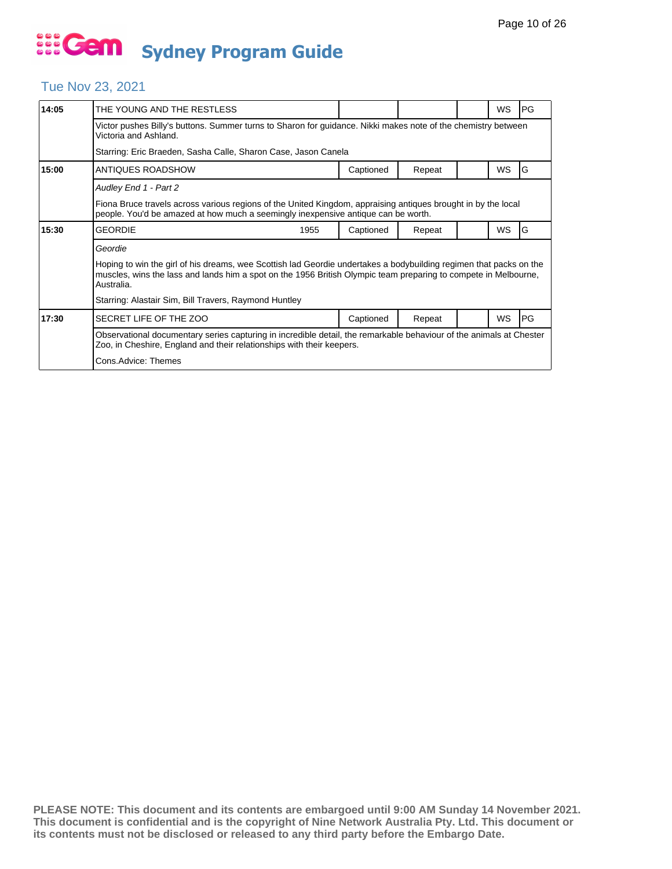#### Tue Nov 23, 2021

| 14:05 | THE YOUNG AND THE RESTLESS                                                                                                                                                                                                                          |  |           |        |  | WS        | <b>IPG</b> |  |
|-------|-----------------------------------------------------------------------------------------------------------------------------------------------------------------------------------------------------------------------------------------------------|--|-----------|--------|--|-----------|------------|--|
|       | Victor pushes Billy's buttons. Summer turns to Sharon for guidance. Nikki makes note of the chemistry between<br>Victoria and Ashland.                                                                                                              |  |           |        |  |           |            |  |
|       | Starring: Eric Braeden, Sasha Calle, Sharon Case, Jason Canela                                                                                                                                                                                      |  |           |        |  |           |            |  |
| 15:00 | ANTIQUES ROADSHOW                                                                                                                                                                                                                                   |  | Captioned | Repeat |  | WS        | l G        |  |
|       | Audley End 1 - Part 2                                                                                                                                                                                                                               |  |           |        |  |           |            |  |
|       | Fiona Bruce travels across various regions of the United Kingdom, appraising antiques brought in by the local<br>people. You'd be amazed at how much a seemingly inexpensive antique can be worth.                                                  |  |           |        |  |           |            |  |
| 15:30 | <b>GEORDIE</b><br>1955                                                                                                                                                                                                                              |  | Captioned | Repeat |  | <b>WS</b> | IG         |  |
|       | Geordie                                                                                                                                                                                                                                             |  |           |        |  |           |            |  |
|       | Hoping to win the girl of his dreams, wee Scottish lad Geordie undertakes a bodybuilding regimen that packs on the<br>muscles, wins the lass and lands him a spot on the 1956 British Olympic team preparing to compete in Melbourne,<br>Australia. |  |           |        |  |           |            |  |
|       | Starring: Alastair Sim, Bill Travers, Raymond Huntley                                                                                                                                                                                               |  |           |        |  |           |            |  |
| 17:30 | SECRET LIFE OF THE ZOO                                                                                                                                                                                                                              |  | Captioned | Repeat |  | <b>WS</b> | <b>IPG</b> |  |
|       | Observational documentary series capturing in incredible detail, the remarkable behaviour of the animals at Chester<br>Zoo, in Cheshire, England and their relationships with their keepers.                                                        |  |           |        |  |           |            |  |
|       |                                                                                                                                                                                                                                                     |  |           |        |  |           |            |  |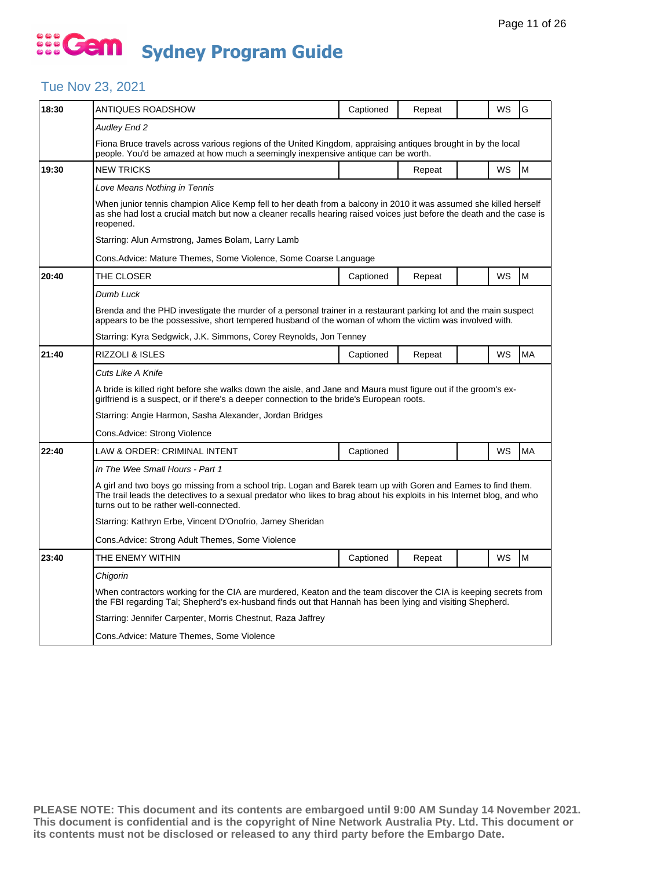### Tue Nov 23, 2021

| 18:30 | ANTIQUES ROADSHOW                                                                                                                                                                                                                                                                 | Captioned                                                                                                                                                                                                                   | Repeat |  | WS        | G         |  |  |  |
|-------|-----------------------------------------------------------------------------------------------------------------------------------------------------------------------------------------------------------------------------------------------------------------------------------|-----------------------------------------------------------------------------------------------------------------------------------------------------------------------------------------------------------------------------|--------|--|-----------|-----------|--|--|--|
|       | Audley End 2                                                                                                                                                                                                                                                                      |                                                                                                                                                                                                                             |        |  |           |           |  |  |  |
|       | Fiona Bruce travels across various regions of the United Kingdom, appraising antiques brought in by the local<br>people. You'd be amazed at how much a seemingly inexpensive antique can be worth.                                                                                |                                                                                                                                                                                                                             |        |  |           |           |  |  |  |
| 19:30 | <b>NEW TRICKS</b>                                                                                                                                                                                                                                                                 |                                                                                                                                                                                                                             | Repeat |  | <b>WS</b> | M         |  |  |  |
|       | Love Means Nothing in Tennis                                                                                                                                                                                                                                                      |                                                                                                                                                                                                                             |        |  |           |           |  |  |  |
|       | When junior tennis champion Alice Kemp fell to her death from a balcony in 2010 it was assumed she killed herself<br>as she had lost a crucial match but now a cleaner recalls hearing raised voices just before the death and the case is<br>reopened.                           |                                                                                                                                                                                                                             |        |  |           |           |  |  |  |
|       | Starring: Alun Armstrong, James Bolam, Larry Lamb                                                                                                                                                                                                                                 |                                                                                                                                                                                                                             |        |  |           |           |  |  |  |
|       | Cons.Advice: Mature Themes, Some Violence, Some Coarse Language                                                                                                                                                                                                                   |                                                                                                                                                                                                                             |        |  |           |           |  |  |  |
| 20:40 | THE CLOSER                                                                                                                                                                                                                                                                        | Captioned                                                                                                                                                                                                                   | Repeat |  | WS        | M         |  |  |  |
|       | Dumb Luck                                                                                                                                                                                                                                                                         |                                                                                                                                                                                                                             |        |  |           |           |  |  |  |
|       | Brenda and the PHD investigate the murder of a personal trainer in a restaurant parking lot and the main suspect<br>appears to be the possessive, short tempered husband of the woman of whom the victim was involved with.                                                       |                                                                                                                                                                                                                             |        |  |           |           |  |  |  |
|       | Starring: Kyra Sedgwick, J.K. Simmons, Corey Reynolds, Jon Tenney                                                                                                                                                                                                                 |                                                                                                                                                                                                                             |        |  |           |           |  |  |  |
| 21:40 | RIZZOLI & ISLES                                                                                                                                                                                                                                                                   | Captioned                                                                                                                                                                                                                   | Repeat |  | WS        | <b>MA</b> |  |  |  |
|       | Cuts Like A Knife                                                                                                                                                                                                                                                                 |                                                                                                                                                                                                                             |        |  |           |           |  |  |  |
|       | A bride is killed right before she walks down the aisle, and Jane and Maura must figure out if the groom's ex-<br>girlfriend is a suspect, or if there's a deeper connection to the bride's European roots.                                                                       |                                                                                                                                                                                                                             |        |  |           |           |  |  |  |
|       | Starring: Angie Harmon, Sasha Alexander, Jordan Bridges                                                                                                                                                                                                                           |                                                                                                                                                                                                                             |        |  |           |           |  |  |  |
|       | Cons.Advice: Strong Violence                                                                                                                                                                                                                                                      |                                                                                                                                                                                                                             |        |  |           |           |  |  |  |
| 22:40 | LAW & ORDER: CRIMINAL INTENT                                                                                                                                                                                                                                                      | Captioned                                                                                                                                                                                                                   |        |  | WS        | <b>MA</b> |  |  |  |
|       | In The Wee Small Hours - Part 1                                                                                                                                                                                                                                                   |                                                                                                                                                                                                                             |        |  |           |           |  |  |  |
|       | A girl and two boys go missing from a school trip. Logan and Barek team up with Goren and Eames to find them.<br>The trail leads the detectives to a sexual predator who likes to brag about his exploits in his Internet blog, and who<br>turns out to be rather well-connected. |                                                                                                                                                                                                                             |        |  |           |           |  |  |  |
|       | Starring: Kathryn Erbe, Vincent D'Onofrio, Jamey Sheridan                                                                                                                                                                                                                         |                                                                                                                                                                                                                             |        |  |           |           |  |  |  |
|       | Cons.Advice: Strong Adult Themes, Some Violence                                                                                                                                                                                                                                   |                                                                                                                                                                                                                             |        |  |           |           |  |  |  |
| 23:40 | THE ENEMY WITHIN                                                                                                                                                                                                                                                                  | Captioned                                                                                                                                                                                                                   | Repeat |  | WS        | M         |  |  |  |
|       | Chigorin                                                                                                                                                                                                                                                                          |                                                                                                                                                                                                                             |        |  |           |           |  |  |  |
|       |                                                                                                                                                                                                                                                                                   | When contractors working for the CIA are murdered, Keaton and the team discover the CIA is keeping secrets from<br>the FBI regarding Tal; Shepherd's ex-husband finds out that Hannah has been lying and visiting Shepherd. |        |  |           |           |  |  |  |
|       | Starring: Jennifer Carpenter, Morris Chestnut, Raza Jaffrey                                                                                                                                                                                                                       |                                                                                                                                                                                                                             |        |  |           |           |  |  |  |
|       | Cons.Advice: Mature Themes, Some Violence                                                                                                                                                                                                                                         |                                                                                                                                                                                                                             |        |  |           |           |  |  |  |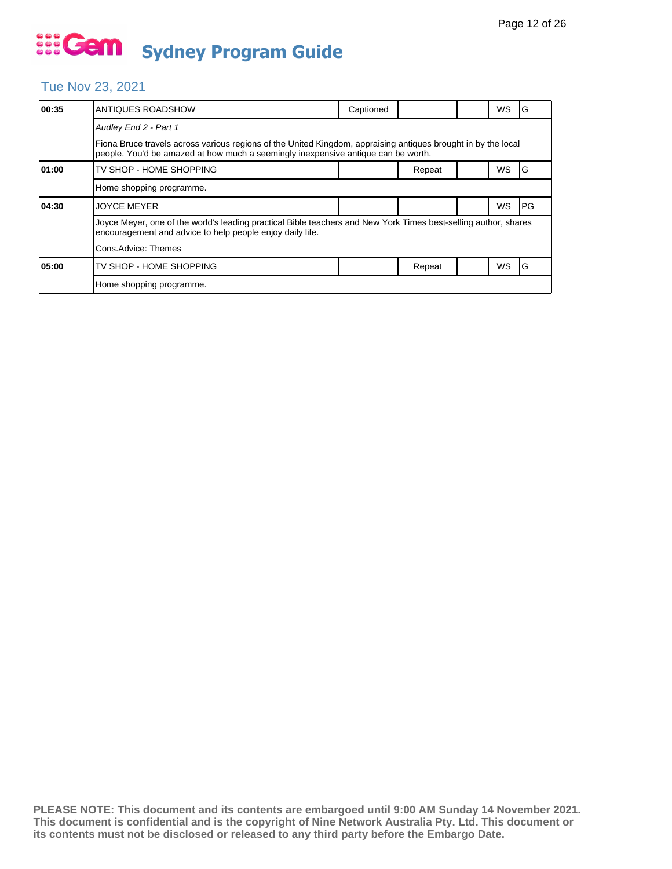### Tue Nov 23, 2021

| 00:35                                                                                                                                                                                              | ANTIQUES ROADSHOW                                                                                                                                                            | Captioned |        |  | WS | G    |  |  |
|----------------------------------------------------------------------------------------------------------------------------------------------------------------------------------------------------|------------------------------------------------------------------------------------------------------------------------------------------------------------------------------|-----------|--------|--|----|------|--|--|
|                                                                                                                                                                                                    | Audley End 2 - Part 1                                                                                                                                                        |           |        |  |    |      |  |  |
| Fiona Bruce travels across various regions of the United Kingdom, appraising antiques brought in by the local<br>people. You'd be amazed at how much a seemingly inexpensive antique can be worth. |                                                                                                                                                                              |           |        |  |    |      |  |  |
| 01:00                                                                                                                                                                                              | TV SHOP - HOME SHOPPING                                                                                                                                                      |           | Repeat |  | WS | G    |  |  |
|                                                                                                                                                                                                    | Home shopping programme.                                                                                                                                                     |           |        |  |    |      |  |  |
| 04:30                                                                                                                                                                                              | <b>JOYCE MEYER</b>                                                                                                                                                           |           |        |  | WS | l PG |  |  |
|                                                                                                                                                                                                    | Joyce Meyer, one of the world's leading practical Bible teachers and New York Times best-selling author, shares<br>encouragement and advice to help people enjoy daily life. |           |        |  |    |      |  |  |
|                                                                                                                                                                                                    | Cons.Advice: Themes                                                                                                                                                          |           |        |  |    |      |  |  |
| 05:00                                                                                                                                                                                              | TV SHOP - HOME SHOPPING                                                                                                                                                      |           | Repeat |  | WS | ١G   |  |  |
|                                                                                                                                                                                                    | Home shopping programme.                                                                                                                                                     |           |        |  |    |      |  |  |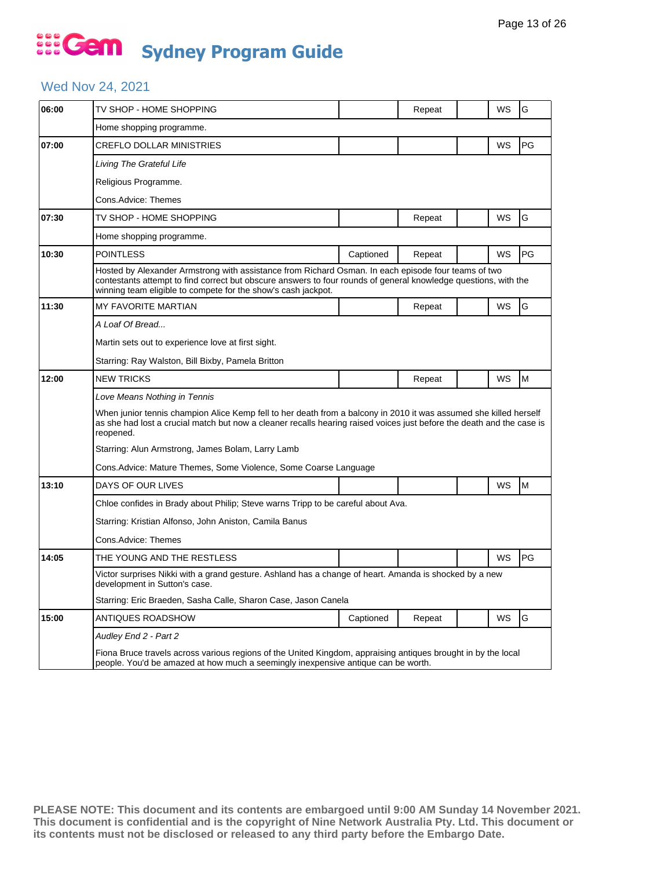## ... Gem **Sydney Program Guide**

### Wed Nov 24, 2021

| 06:00 | TV SHOP - HOME SHOPPING                                                                                                                                                                                                                                                                 |           | Repeat |  | WS        | G         |  |  |
|-------|-----------------------------------------------------------------------------------------------------------------------------------------------------------------------------------------------------------------------------------------------------------------------------------------|-----------|--------|--|-----------|-----------|--|--|
|       | Home shopping programme.                                                                                                                                                                                                                                                                |           |        |  |           |           |  |  |
| 07:00 | <b>CREFLO DOLLAR MINISTRIES</b>                                                                                                                                                                                                                                                         |           |        |  | WS        | <b>PG</b> |  |  |
|       | Living The Grateful Life                                                                                                                                                                                                                                                                |           |        |  |           |           |  |  |
|       | Religious Programme.                                                                                                                                                                                                                                                                    |           |        |  |           |           |  |  |
|       | Cons.Advice: Themes                                                                                                                                                                                                                                                                     |           |        |  |           |           |  |  |
| 07:30 | TV SHOP - HOME SHOPPING                                                                                                                                                                                                                                                                 |           | Repeat |  | WS        | G         |  |  |
|       | Home shopping programme.                                                                                                                                                                                                                                                                |           |        |  |           |           |  |  |
| 10:30 | <b>POINTLESS</b>                                                                                                                                                                                                                                                                        | Captioned | Repeat |  | WS        | PG        |  |  |
|       | Hosted by Alexander Armstrong with assistance from Richard Osman. In each episode four teams of two<br>contestants attempt to find correct but obscure answers to four rounds of general knowledge questions, with the<br>winning team eligible to compete for the show's cash jackpot. |           |        |  |           |           |  |  |
| 11:30 | MY FAVORITE MARTIAN                                                                                                                                                                                                                                                                     |           | Repeat |  | WS        | G         |  |  |
|       | A Loaf Of Bread                                                                                                                                                                                                                                                                         |           |        |  |           |           |  |  |
|       | Martin sets out to experience love at first sight.                                                                                                                                                                                                                                      |           |        |  |           |           |  |  |
|       | Starring: Ray Walston, Bill Bixby, Pamela Britton                                                                                                                                                                                                                                       |           |        |  |           |           |  |  |
| 12:00 | <b>NEW TRICKS</b>                                                                                                                                                                                                                                                                       |           | Repeat |  | WS        | M         |  |  |
|       | Love Means Nothing in Tennis                                                                                                                                                                                                                                                            |           |        |  |           |           |  |  |
|       | When junior tennis champion Alice Kemp fell to her death from a balcony in 2010 it was assumed she killed herself<br>as she had lost a crucial match but now a cleaner recalls hearing raised voices just before the death and the case is<br>reopened.                                 |           |        |  |           |           |  |  |
|       | Starring: Alun Armstrong, James Bolam, Larry Lamb                                                                                                                                                                                                                                       |           |        |  |           |           |  |  |
|       | Cons. Advice: Mature Themes, Some Violence, Some Coarse Language                                                                                                                                                                                                                        |           |        |  |           |           |  |  |
| 13:10 | DAYS OF OUR LIVES                                                                                                                                                                                                                                                                       |           |        |  | WS        | M         |  |  |
|       | Chloe confides in Brady about Philip; Steve warns Tripp to be careful about Ava.                                                                                                                                                                                                        |           |        |  |           |           |  |  |
|       | Starring: Kristian Alfonso, John Aniston, Camila Banus                                                                                                                                                                                                                                  |           |        |  |           |           |  |  |
|       | Cons.Advice: Themes                                                                                                                                                                                                                                                                     |           |        |  |           |           |  |  |
| 14:05 | THE YOUNG AND THE RESTLESS                                                                                                                                                                                                                                                              |           |        |  | <b>WS</b> | PG        |  |  |
|       | Victor surprises Nikki with a grand gesture. Ashland has a change of heart. Amanda is shocked by a new<br>development in Sutton's case.                                                                                                                                                 |           |        |  |           |           |  |  |
|       | Starring: Eric Braeden, Sasha Calle, Sharon Case, Jason Canela                                                                                                                                                                                                                          |           |        |  |           |           |  |  |
| 15:00 | ANTIQUES ROADSHOW                                                                                                                                                                                                                                                                       | Captioned | Repeat |  | WS        | G         |  |  |
|       | Audley End 2 - Part 2                                                                                                                                                                                                                                                                   |           |        |  |           |           |  |  |
|       | Fiona Bruce travels across various regions of the United Kingdom, appraising antiques brought in by the local<br>people. You'd be amazed at how much a seemingly inexpensive antique can be worth.                                                                                      |           |        |  |           |           |  |  |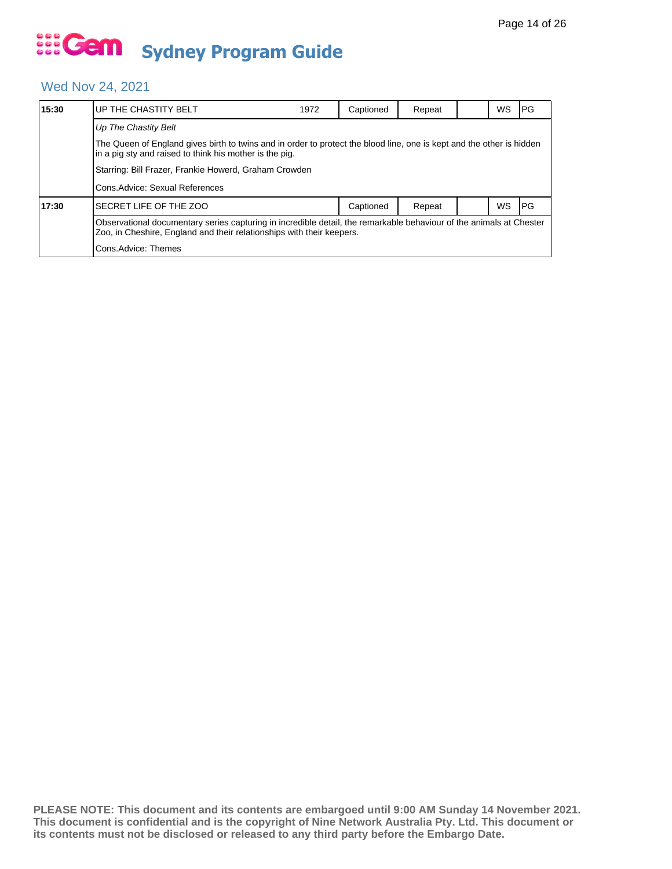### Wed Nov 24, 2021

| 15:30 | UP THE CHASTITY BELT                                                                                                                                                                         | 1972 | Captioned | Repeat |  | WS | IPG.       |  |  |
|-------|----------------------------------------------------------------------------------------------------------------------------------------------------------------------------------------------|------|-----------|--------|--|----|------------|--|--|
|       | Up The Chastity Belt                                                                                                                                                                         |      |           |        |  |    |            |  |  |
|       | The Queen of England gives birth to twins and in order to protect the blood line, one is kept and the other is hidden<br>in a pig sty and raised to think his mother is the pig.             |      |           |        |  |    |            |  |  |
|       | Starring: Bill Frazer, Frankie Howerd, Graham Crowden                                                                                                                                        |      |           |        |  |    |            |  |  |
|       | Cons. Advice: Sexual References                                                                                                                                                              |      |           |        |  |    |            |  |  |
| 17:30 | SECRET LIFE OF THE ZOO                                                                                                                                                                       |      | Captioned | Repeat |  | WS | <b>IPG</b> |  |  |
|       | Observational documentary series capturing in incredible detail, the remarkable behaviour of the animals at Chester<br>Zoo, in Cheshire, England and their relationships with their keepers. |      |           |        |  |    |            |  |  |
|       | Cons.Advice: Themes                                                                                                                                                                          |      |           |        |  |    |            |  |  |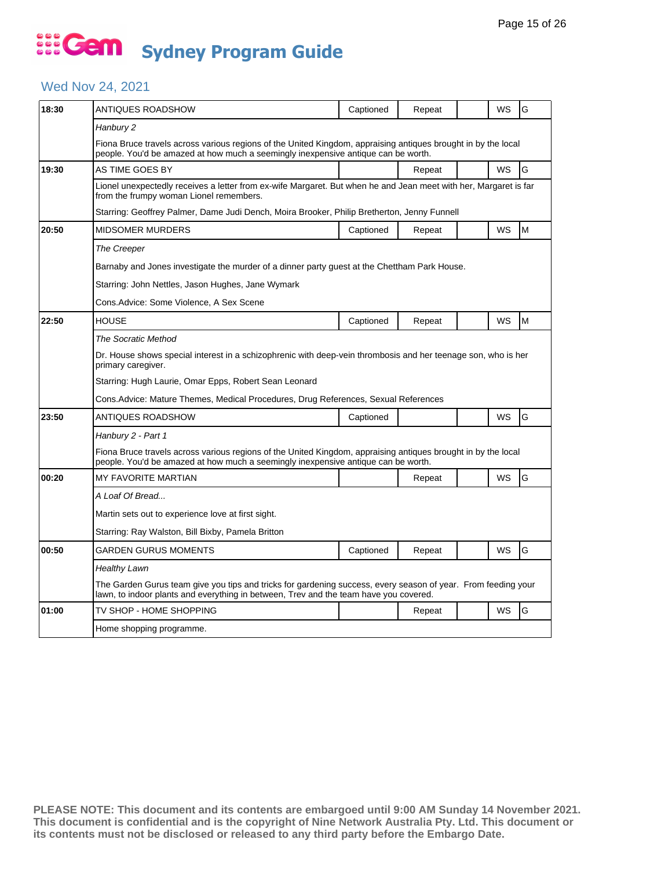## ... Gem **Sydney Program Guide**

### Wed Nov 24, 2021

| 18:30 | ANTIQUES ROADSHOW                                                                                                                                                                                      | Captioned | Repeat |  | WS        | G |  |  |  |
|-------|--------------------------------------------------------------------------------------------------------------------------------------------------------------------------------------------------------|-----------|--------|--|-----------|---|--|--|--|
|       | Hanbury 2                                                                                                                                                                                              |           |        |  |           |   |  |  |  |
|       | Fiona Bruce travels across various regions of the United Kingdom, appraising antiques brought in by the local<br>people. You'd be amazed at how much a seemingly inexpensive antique can be worth.     |           |        |  |           |   |  |  |  |
| 19:30 | AS TIME GOES BY                                                                                                                                                                                        |           | Repeat |  | WS        | G |  |  |  |
|       | Lionel unexpectedly receives a letter from ex-wife Margaret. But when he and Jean meet with her, Margaret is far<br>from the frumpy woman Lionel remembers.                                            |           |        |  |           |   |  |  |  |
|       | Starring: Geoffrey Palmer, Dame Judi Dench, Moira Brooker, Philip Bretherton, Jenny Funnell                                                                                                            |           |        |  |           |   |  |  |  |
| 20:50 | <b>MIDSOMER MURDERS</b>                                                                                                                                                                                | Captioned | Repeat |  | <b>WS</b> | M |  |  |  |
|       | The Creeper                                                                                                                                                                                            |           |        |  |           |   |  |  |  |
|       | Barnaby and Jones investigate the murder of a dinner party guest at the Chettham Park House.                                                                                                           |           |        |  |           |   |  |  |  |
|       | Starring: John Nettles, Jason Hughes, Jane Wymark                                                                                                                                                      |           |        |  |           |   |  |  |  |
|       | Cons.Advice: Some Violence, A Sex Scene                                                                                                                                                                |           |        |  |           |   |  |  |  |
| 22:50 | <b>HOUSE</b>                                                                                                                                                                                           | Captioned | Repeat |  | <b>WS</b> | M |  |  |  |
|       | The Socratic Method                                                                                                                                                                                    |           |        |  |           |   |  |  |  |
|       | Dr. House shows special interest in a schizophrenic with deep-vein thrombosis and her teenage son, who is her<br>primary caregiver.                                                                    |           |        |  |           |   |  |  |  |
|       | Starring: Hugh Laurie, Omar Epps, Robert Sean Leonard                                                                                                                                                  |           |        |  |           |   |  |  |  |
|       | Cons.Advice: Mature Themes, Medical Procedures, Drug References, Sexual References                                                                                                                     |           |        |  |           |   |  |  |  |
| 23:50 | ANTIQUES ROADSHOW                                                                                                                                                                                      | Captioned |        |  | <b>WS</b> | G |  |  |  |
|       | Hanbury 2 - Part 1                                                                                                                                                                                     |           |        |  |           |   |  |  |  |
|       | Fiona Bruce travels across various regions of the United Kingdom, appraising antiques brought in by the local<br>people. You'd be amazed at how much a seemingly inexpensive antique can be worth.     |           |        |  |           |   |  |  |  |
| 00:20 | <b>MY FAVORITE MARTIAN</b>                                                                                                                                                                             |           | Repeat |  | <b>WS</b> | G |  |  |  |
|       | A Loaf Of Bread                                                                                                                                                                                        |           |        |  |           |   |  |  |  |
|       | Martin sets out to experience love at first sight.                                                                                                                                                     |           |        |  |           |   |  |  |  |
|       | Starring: Ray Walston, Bill Bixby, Pamela Britton                                                                                                                                                      |           |        |  |           |   |  |  |  |
| 00:50 | GARDEN GURUS MOMENTS                                                                                                                                                                                   | Captioned | Repeat |  | <b>WS</b> | G |  |  |  |
|       | Healthy Lawn                                                                                                                                                                                           |           |        |  |           |   |  |  |  |
|       | The Garden Gurus team give you tips and tricks for gardening success, every season of year. From feeding your<br>lawn, to indoor plants and everything in between, Trev and the team have you covered. |           |        |  |           |   |  |  |  |
| 01:00 | TV SHOP - HOME SHOPPING                                                                                                                                                                                |           | Repeat |  | <b>WS</b> | G |  |  |  |
|       | Home shopping programme.                                                                                                                                                                               |           |        |  |           |   |  |  |  |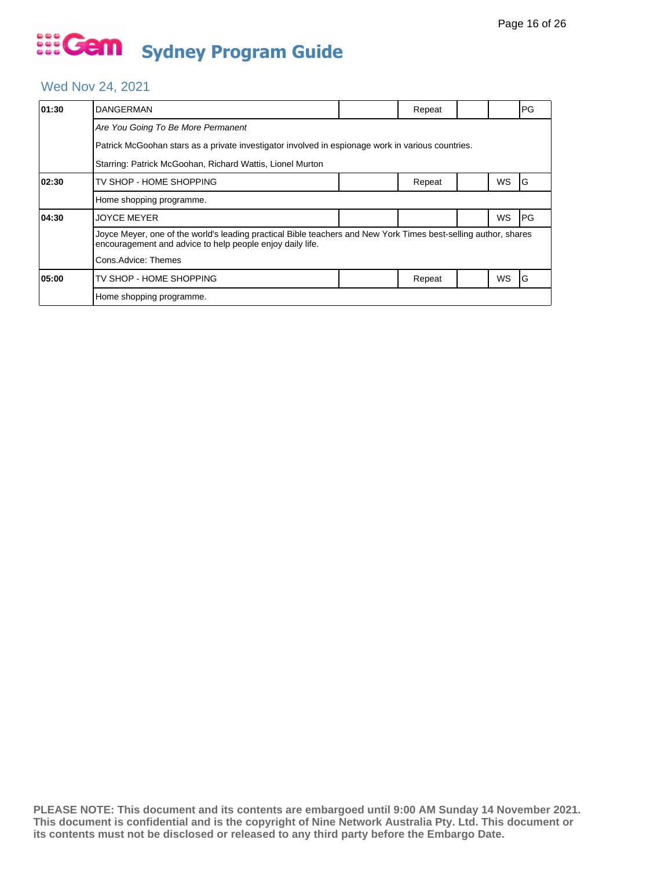### Wed Nov 24, 2021

| 01:30 | DANGERMAN                                                                                                                                                                    |  | Repeat |  |           | PG         |  |  |  |  |
|-------|------------------------------------------------------------------------------------------------------------------------------------------------------------------------------|--|--------|--|-----------|------------|--|--|--|--|
|       | Are You Going To Be More Permanent                                                                                                                                           |  |        |  |           |            |  |  |  |  |
|       | Patrick McGoohan stars as a private investigator involved in espionage work in various countries.                                                                            |  |        |  |           |            |  |  |  |  |
|       | Starring: Patrick McGoohan, Richard Wattis, Lionel Murton                                                                                                                    |  |        |  |           |            |  |  |  |  |
| 02:30 | TV SHOP - HOME SHOPPING                                                                                                                                                      |  | Repeat |  | WS        | IG         |  |  |  |  |
|       | Home shopping programme.                                                                                                                                                     |  |        |  |           |            |  |  |  |  |
| 04:30 | <b>JOYCE MEYER</b>                                                                                                                                                           |  |        |  | WS        | <b>IPG</b> |  |  |  |  |
|       | Joyce Meyer, one of the world's leading practical Bible teachers and New York Times best-selling author, shares<br>encouragement and advice to help people enjoy daily life. |  |        |  |           |            |  |  |  |  |
|       | Cons.Advice: Themes                                                                                                                                                          |  |        |  |           |            |  |  |  |  |
| 05:00 | TV SHOP - HOME SHOPPING                                                                                                                                                      |  | Repeat |  | <b>WS</b> | ١G         |  |  |  |  |
|       | Home shopping programme.                                                                                                                                                     |  |        |  |           |            |  |  |  |  |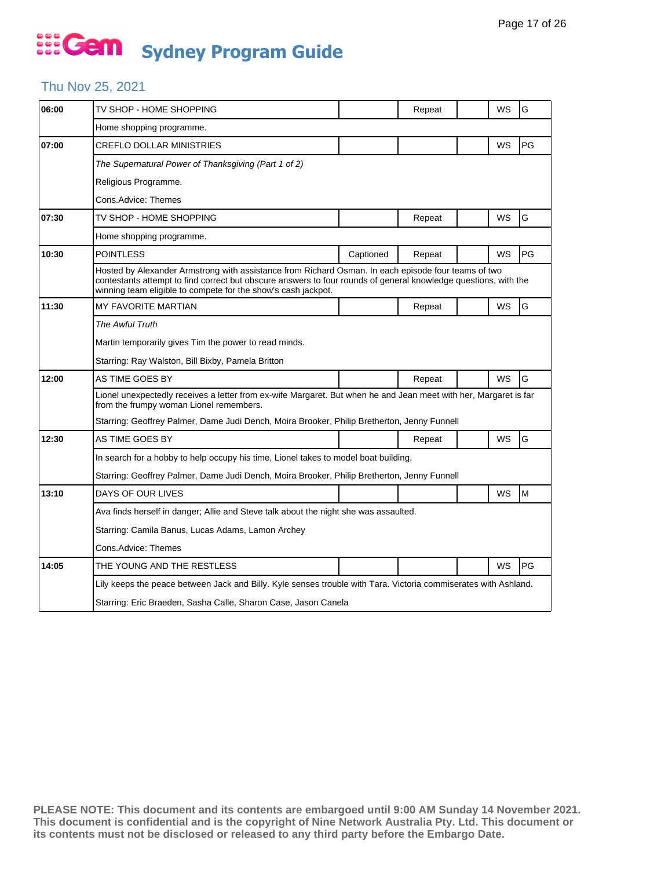## ... Gem **Sydney Program Guide**

### Thu Nov 25, 2021

| 06:00 | TV SHOP - HOME SHOPPING                                                                                                                                                                                                                                                                 |           | Repeat |  | WS        | G  |  |  |  |  |
|-------|-----------------------------------------------------------------------------------------------------------------------------------------------------------------------------------------------------------------------------------------------------------------------------------------|-----------|--------|--|-----------|----|--|--|--|--|
|       | Home shopping programme.                                                                                                                                                                                                                                                                |           |        |  |           |    |  |  |  |  |
| 07:00 | <b>CREFLO DOLLAR MINISTRIES</b>                                                                                                                                                                                                                                                         |           |        |  | WS        | PG |  |  |  |  |
|       | The Supernatural Power of Thanksgiving (Part 1 of 2)                                                                                                                                                                                                                                    |           |        |  |           |    |  |  |  |  |
|       | Religious Programme.                                                                                                                                                                                                                                                                    |           |        |  |           |    |  |  |  |  |
|       | Cons.Advice: Themes                                                                                                                                                                                                                                                                     |           |        |  |           |    |  |  |  |  |
| 07:30 | TV SHOP - HOME SHOPPING                                                                                                                                                                                                                                                                 |           | Repeat |  | WS        | G  |  |  |  |  |
|       | Home shopping programme.                                                                                                                                                                                                                                                                |           |        |  |           |    |  |  |  |  |
| 10:30 | <b>POINTLESS</b>                                                                                                                                                                                                                                                                        | Captioned | Repeat |  | WS        | PG |  |  |  |  |
|       | Hosted by Alexander Armstrong with assistance from Richard Osman. In each episode four teams of two<br>contestants attempt to find correct but obscure answers to four rounds of general knowledge questions, with the<br>winning team eligible to compete for the show's cash jackpot. |           |        |  |           |    |  |  |  |  |
| 11:30 | MY FAVORITE MARTIAN                                                                                                                                                                                                                                                                     |           | Repeat |  | WS        | G  |  |  |  |  |
|       | <b>The Awful Truth</b>                                                                                                                                                                                                                                                                  |           |        |  |           |    |  |  |  |  |
|       | Martin temporarily gives Tim the power to read minds.                                                                                                                                                                                                                                   |           |        |  |           |    |  |  |  |  |
|       | Starring: Ray Walston, Bill Bixby, Pamela Britton                                                                                                                                                                                                                                       |           |        |  |           |    |  |  |  |  |
| 12:00 | AS TIME GOES BY                                                                                                                                                                                                                                                                         |           | Repeat |  | WS        | G  |  |  |  |  |
|       | Lionel unexpectedly receives a letter from ex-wife Margaret. But when he and Jean meet with her, Margaret is far<br>from the frumpy woman Lionel remembers.                                                                                                                             |           |        |  |           |    |  |  |  |  |
|       | Starring: Geoffrey Palmer, Dame Judi Dench, Moira Brooker, Philip Bretherton, Jenny Funnell                                                                                                                                                                                             |           |        |  |           |    |  |  |  |  |
| 12:30 | AS TIME GOES BY                                                                                                                                                                                                                                                                         |           | Repeat |  | <b>WS</b> | G  |  |  |  |  |
|       | In search for a hobby to help occupy his time, Lionel takes to model boat building.                                                                                                                                                                                                     |           |        |  |           |    |  |  |  |  |
|       | Starring: Geoffrey Palmer, Dame Judi Dench, Moira Brooker, Philip Bretherton, Jenny Funnell                                                                                                                                                                                             |           |        |  |           |    |  |  |  |  |
| 13:10 | DAYS OF OUR LIVES                                                                                                                                                                                                                                                                       |           |        |  | WS        | M  |  |  |  |  |
|       | Ava finds herself in danger; Allie and Steve talk about the night she was assaulted.                                                                                                                                                                                                    |           |        |  |           |    |  |  |  |  |
|       | Starring: Camila Banus, Lucas Adams, Lamon Archey                                                                                                                                                                                                                                       |           |        |  |           |    |  |  |  |  |
|       | Cons.Advice: Themes                                                                                                                                                                                                                                                                     |           |        |  |           |    |  |  |  |  |
| 14:05 | THE YOUNG AND THE RESTLESS                                                                                                                                                                                                                                                              |           |        |  | WS        | PG |  |  |  |  |
|       |                                                                                                                                                                                                                                                                                         |           |        |  |           |    |  |  |  |  |
|       | Lily keeps the peace between Jack and Billy. Kyle senses trouble with Tara. Victoria commiserates with Ashland.                                                                                                                                                                         |           |        |  |           |    |  |  |  |  |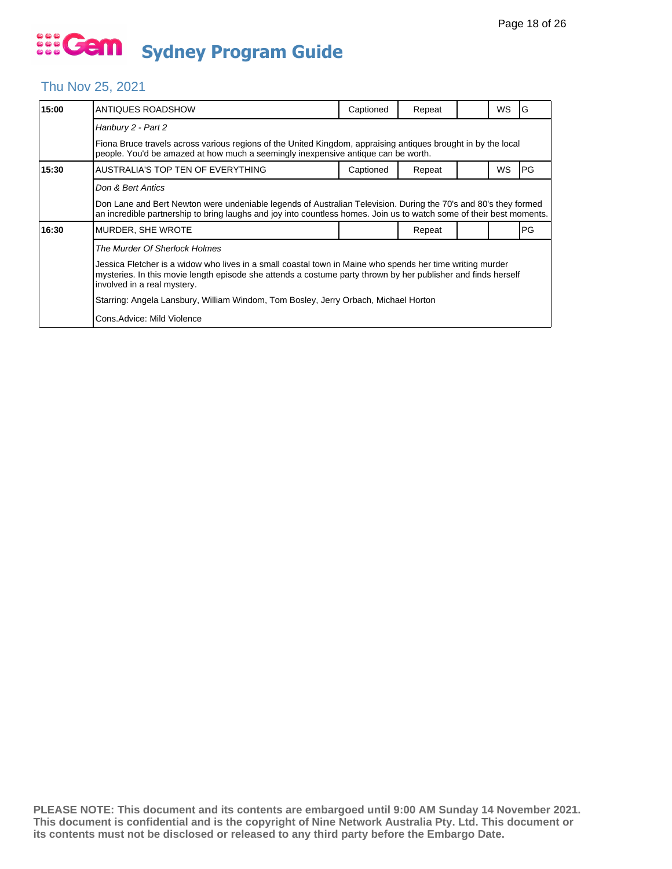## Thu Nov 25, 2021

| 15:00 | ANTIQUES ROADSHOW                                                                                                                                                                                                                                         | Captioned | Repeat |  | <b>WS</b> | ١G         |  |  |  |
|-------|-----------------------------------------------------------------------------------------------------------------------------------------------------------------------------------------------------------------------------------------------------------|-----------|--------|--|-----------|------------|--|--|--|
|       | Hanbury 2 - Part 2                                                                                                                                                                                                                                        |           |        |  |           |            |  |  |  |
|       | Fiona Bruce travels across various regions of the United Kingdom, appraising antiques brought in by the local<br>people. You'd be amazed at how much a seemingly inexpensive antique can be worth.                                                        |           |        |  |           |            |  |  |  |
| 15:30 | AUSTRALIA'S TOP TEN OF EVERYTHING                                                                                                                                                                                                                         | Captioned | Repeat |  | <b>WS</b> | <b>IPG</b> |  |  |  |
|       | Don & Bert Antics                                                                                                                                                                                                                                         |           |        |  |           |            |  |  |  |
|       | Don Lane and Bert Newton were undeniable legends of Australian Television. During the 70's and 80's they formed<br>an incredible partnership to bring laughs and joy into countless homes. Join us to watch some of their best moments.                   |           |        |  |           |            |  |  |  |
| 16:30 | MURDER, SHE WROTE                                                                                                                                                                                                                                         |           | Repeat |  |           | PG         |  |  |  |
|       | The Murder Of Sherlock Holmes                                                                                                                                                                                                                             |           |        |  |           |            |  |  |  |
|       | Jessica Fletcher is a widow who lives in a small coastal town in Maine who spends her time writing murder<br>mysteries. In this movie length episode she attends a costume party thrown by her publisher and finds herself<br>involved in a real mystery. |           |        |  |           |            |  |  |  |
|       | Starring: Angela Lansbury, William Windom, Tom Bosley, Jerry Orbach, Michael Horton                                                                                                                                                                       |           |        |  |           |            |  |  |  |
|       | Cons.Advice: Mild Violence                                                                                                                                                                                                                                |           |        |  |           |            |  |  |  |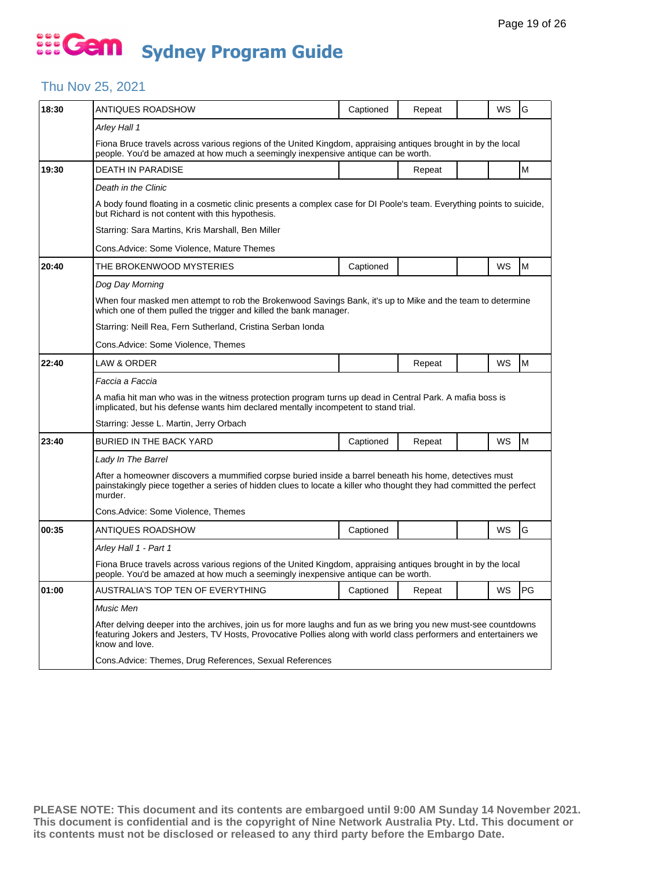### Thu Nov 25, 2021

| 18:30 | ANTIQUES ROADSHOW                                                                                                                                                                                                                                      | Captioned | Repeat |  | WS | G  |  |  |  |  |
|-------|--------------------------------------------------------------------------------------------------------------------------------------------------------------------------------------------------------------------------------------------------------|-----------|--------|--|----|----|--|--|--|--|
|       | Arley Hall 1                                                                                                                                                                                                                                           |           |        |  |    |    |  |  |  |  |
|       | Fiona Bruce travels across various regions of the United Kingdom, appraising antiques brought in by the local<br>people. You'd be amazed at how much a seemingly inexpensive antique can be worth.                                                     |           |        |  |    |    |  |  |  |  |
| 19:30 | DEATH IN PARADISE                                                                                                                                                                                                                                      |           | Repeat |  |    | M  |  |  |  |  |
|       | Death in the Clinic                                                                                                                                                                                                                                    |           |        |  |    |    |  |  |  |  |
|       | A body found floating in a cosmetic clinic presents a complex case for DI Poole's team. Everything points to suicide,<br>but Richard is not content with this hypothesis.                                                                              |           |        |  |    |    |  |  |  |  |
|       | Starring: Sara Martins, Kris Marshall, Ben Miller                                                                                                                                                                                                      |           |        |  |    |    |  |  |  |  |
|       | Cons.Advice: Some Violence, Mature Themes                                                                                                                                                                                                              |           |        |  |    |    |  |  |  |  |
| 20:40 | THE BROKENWOOD MYSTERIES                                                                                                                                                                                                                               | Captioned |        |  | WS | M  |  |  |  |  |
|       | Dog Day Morning                                                                                                                                                                                                                                        |           |        |  |    |    |  |  |  |  |
|       | When four masked men attempt to rob the Brokenwood Savings Bank, it's up to Mike and the team to determine<br>which one of them pulled the trigger and killed the bank manager.                                                                        |           |        |  |    |    |  |  |  |  |
|       | Starring: Neill Rea, Fern Sutherland, Cristina Serban Ionda                                                                                                                                                                                            |           |        |  |    |    |  |  |  |  |
|       | Cons.Advice: Some Violence, Themes                                                                                                                                                                                                                     |           |        |  |    |    |  |  |  |  |
| 22:40 | <b>LAW &amp; ORDER</b>                                                                                                                                                                                                                                 |           | Repeat |  | WS | M  |  |  |  |  |
|       | Faccia a Faccia                                                                                                                                                                                                                                        |           |        |  |    |    |  |  |  |  |
|       | A mafia hit man who was in the witness protection program turns up dead in Central Park. A mafia boss is<br>implicated, but his defense wants him declared mentally incompetent to stand trial.                                                        |           |        |  |    |    |  |  |  |  |
|       | Starring: Jesse L. Martin, Jerry Orbach                                                                                                                                                                                                                |           |        |  |    |    |  |  |  |  |
| 23:40 | <b>BURIED IN THE BACK YARD</b>                                                                                                                                                                                                                         | Captioned | Repeat |  | WS | M  |  |  |  |  |
|       | Lady In The Barrel                                                                                                                                                                                                                                     |           |        |  |    |    |  |  |  |  |
|       | After a homeowner discovers a mummified corpse buried inside a barrel beneath his home, detectives must<br>painstakingly piece together a series of hidden clues to locate a killer who thought they had committed the perfect<br>murder.              |           |        |  |    |    |  |  |  |  |
|       | Cons.Advice: Some Violence, Themes                                                                                                                                                                                                                     |           |        |  |    |    |  |  |  |  |
| 00:35 | ANTIQUES ROADSHOW                                                                                                                                                                                                                                      | Captioned |        |  | WS | G  |  |  |  |  |
|       | Arley Hall 1 - Part 1                                                                                                                                                                                                                                  |           |        |  |    |    |  |  |  |  |
|       | Fiona Bruce travels across various regions of the United Kingdom, appraising antiques brought in by the local<br>people. You'd be amazed at how much a seemingly inexpensive antique can be worth.                                                     |           |        |  |    |    |  |  |  |  |
| 01:00 | AUSTRALIA'S TOP TEN OF EVERYTHING                                                                                                                                                                                                                      | Captioned | Repeat |  | WS | PG |  |  |  |  |
|       | Music Men                                                                                                                                                                                                                                              |           |        |  |    |    |  |  |  |  |
|       | After delving deeper into the archives, join us for more laughs and fun as we bring you new must-see countdowns<br>featuring Jokers and Jesters, TV Hosts, Provocative Pollies along with world class performers and entertainers we<br>know and love. |           |        |  |    |    |  |  |  |  |
|       | Cons.Advice: Themes, Drug References, Sexual References                                                                                                                                                                                                |           |        |  |    |    |  |  |  |  |
|       |                                                                                                                                                                                                                                                        |           |        |  |    |    |  |  |  |  |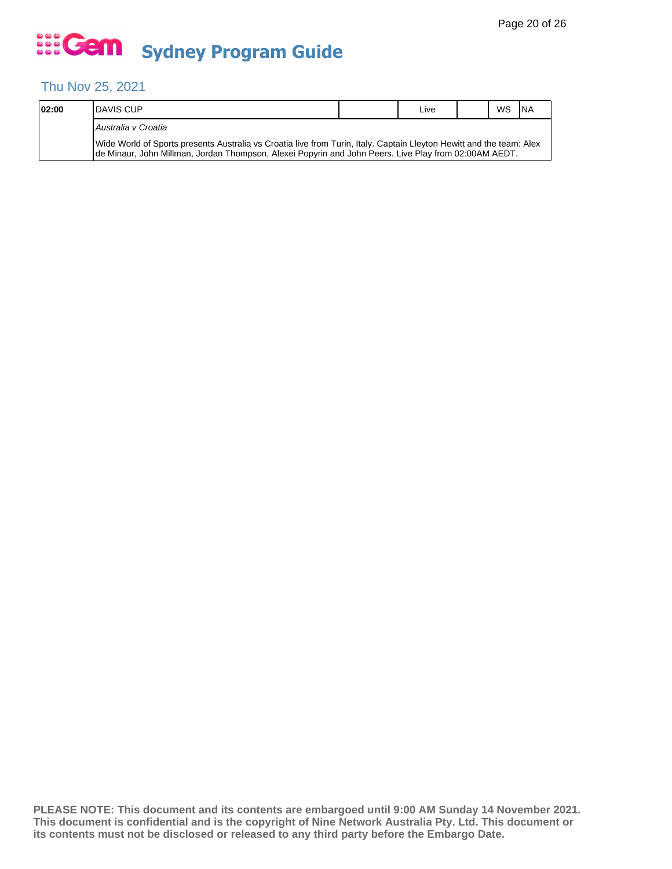## Thu Nov 25, 2021

| 02:00 | <b>IDAVIS CUP</b>                                                                                                                                                                                                              |  | Live |  | WS | <b>INA</b> |  |  |  |
|-------|--------------------------------------------------------------------------------------------------------------------------------------------------------------------------------------------------------------------------------|--|------|--|----|------------|--|--|--|
|       | Australia v Croatia                                                                                                                                                                                                            |  |      |  |    |            |  |  |  |
|       | Wide World of Sports presents Australia vs Croatia live from Turin, Italy. Captain Lleyton Hewitt and the team: Alex<br>Ide Minaur, John Millman, Jordan Thompson, Alexei Popyrin and John Peers. Live Play from 02:00AM AEDT. |  |      |  |    |            |  |  |  |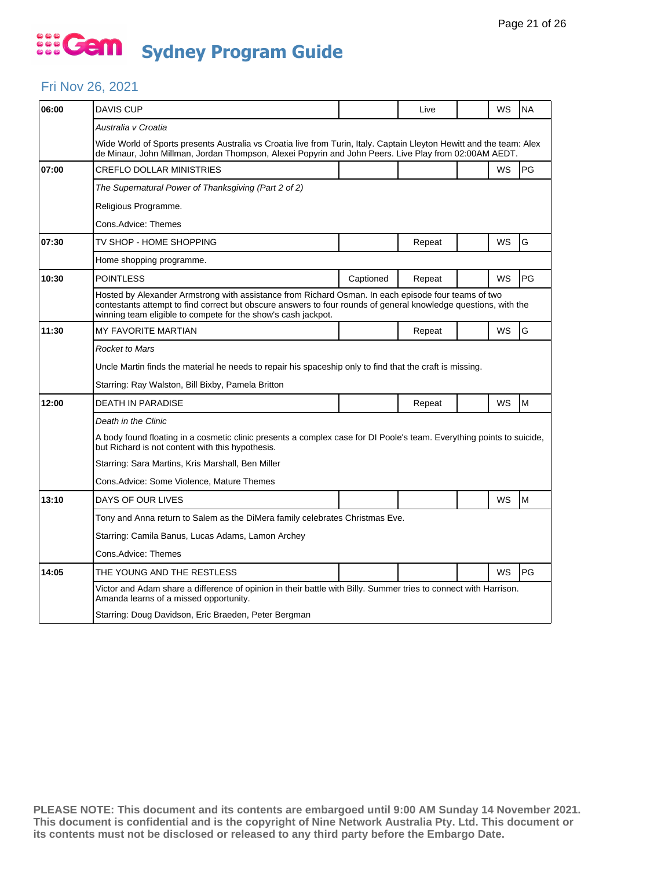#### Fri Nov 26, 2021

| 06:00 | <b>DAVIS CUP</b>                                                                                                                                                                                                                                                                        |           | Live   |  | WS        | <b>NA</b> |  |  |  |
|-------|-----------------------------------------------------------------------------------------------------------------------------------------------------------------------------------------------------------------------------------------------------------------------------------------|-----------|--------|--|-----------|-----------|--|--|--|
|       | Australia v Croatia                                                                                                                                                                                                                                                                     |           |        |  |           |           |  |  |  |
|       | Wide World of Sports presents Australia vs Croatia live from Turin, Italy. Captain Lleyton Hewitt and the team: Alex<br>de Minaur, John Millman, Jordan Thompson, Alexei Popyrin and John Peers. Live Play from 02:00AM AEDT.                                                           |           |        |  |           |           |  |  |  |
| 07:00 | <b>CREFLO DOLLAR MINISTRIES</b>                                                                                                                                                                                                                                                         |           |        |  | <b>WS</b> | PG        |  |  |  |
|       | The Supernatural Power of Thanksgiving (Part 2 of 2)                                                                                                                                                                                                                                    |           |        |  |           |           |  |  |  |
|       | Religious Programme.                                                                                                                                                                                                                                                                    |           |        |  |           |           |  |  |  |
|       | Cons.Advice: Themes                                                                                                                                                                                                                                                                     |           |        |  |           |           |  |  |  |
| 07:30 | TV SHOP - HOME SHOPPING                                                                                                                                                                                                                                                                 |           | Repeat |  | WS        | G         |  |  |  |
|       | Home shopping programme.                                                                                                                                                                                                                                                                |           |        |  |           |           |  |  |  |
| 10:30 | <b>POINTLESS</b>                                                                                                                                                                                                                                                                        | Captioned | Repeat |  | WS        | PG        |  |  |  |
|       | Hosted by Alexander Armstrong with assistance from Richard Osman. In each episode four teams of two<br>contestants attempt to find correct but obscure answers to four rounds of general knowledge questions, with the<br>winning team eligible to compete for the show's cash jackpot. |           |        |  |           |           |  |  |  |
| 11:30 | <b>MY FAVORITE MARTIAN</b>                                                                                                                                                                                                                                                              |           | Repeat |  | WS        | G         |  |  |  |
|       | <b>Rocket to Mars</b>                                                                                                                                                                                                                                                                   |           |        |  |           |           |  |  |  |
|       | Uncle Martin finds the material he needs to repair his spaceship only to find that the craft is missing.                                                                                                                                                                                |           |        |  |           |           |  |  |  |
|       | Starring: Ray Walston, Bill Bixby, Pamela Britton                                                                                                                                                                                                                                       |           |        |  |           |           |  |  |  |
| 12:00 | DEATH IN PARADISE                                                                                                                                                                                                                                                                       |           | Repeat |  | WS        | M         |  |  |  |
|       | Death in the Clinic                                                                                                                                                                                                                                                                     |           |        |  |           |           |  |  |  |
|       | A body found floating in a cosmetic clinic presents a complex case for DI Poole's team. Everything points to suicide,<br>but Richard is not content with this hypothesis.                                                                                                               |           |        |  |           |           |  |  |  |
|       | Starring: Sara Martins, Kris Marshall, Ben Miller                                                                                                                                                                                                                                       |           |        |  |           |           |  |  |  |
|       | Cons.Advice: Some Violence, Mature Themes                                                                                                                                                                                                                                               |           |        |  |           |           |  |  |  |
| 13:10 | DAYS OF OUR LIVES                                                                                                                                                                                                                                                                       |           |        |  | WS        | M         |  |  |  |
|       | Tony and Anna return to Salem as the DiMera family celebrates Christmas Eve.                                                                                                                                                                                                            |           |        |  |           |           |  |  |  |
|       | Starring: Camila Banus, Lucas Adams, Lamon Archey                                                                                                                                                                                                                                       |           |        |  |           |           |  |  |  |
|       | Cons.Advice: Themes                                                                                                                                                                                                                                                                     |           |        |  |           |           |  |  |  |
| 14:05 |                                                                                                                                                                                                                                                                                         |           |        |  |           |           |  |  |  |
|       | THE YOUNG AND THE RESTLESS                                                                                                                                                                                                                                                              |           |        |  | <b>WS</b> | PG        |  |  |  |
|       | Victor and Adam share a difference of opinion in their battle with Billy. Summer tries to connect with Harrison.<br>Amanda learns of a missed opportunity.                                                                                                                              |           |        |  |           |           |  |  |  |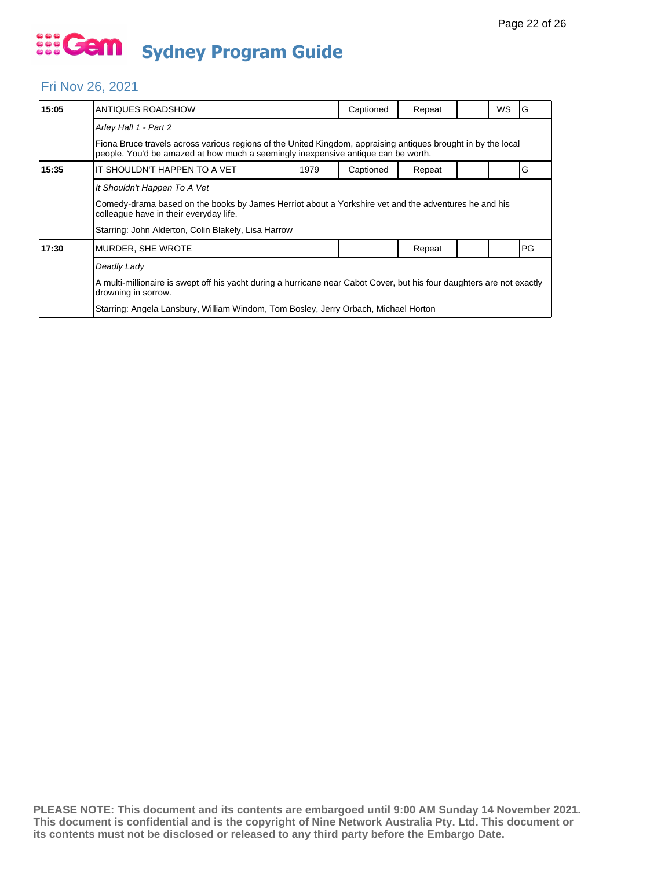#### Fri Nov 26, 2021

| 15:05 | ANTIQUES ROADSHOW                                                                                                                                                                                                                                   |  | Captioned | Repeat |  | WS | G  |  |  |
|-------|-----------------------------------------------------------------------------------------------------------------------------------------------------------------------------------------------------------------------------------------------------|--|-----------|--------|--|----|----|--|--|
|       | Arley Hall 1 - Part 2                                                                                                                                                                                                                               |  |           |        |  |    |    |  |  |
|       | Fiona Bruce travels across various regions of the United Kingdom, appraising antiques brought in by the local<br>people. You'd be amazed at how much a seemingly inexpensive antique can be worth.                                                  |  |           |        |  |    |    |  |  |
| 15:35 | IT SHOULDN'T HAPPEN TO A VET<br>1979                                                                                                                                                                                                                |  | Captioned | Repeat |  |    | G  |  |  |
|       | It Shouldn't Happen To A Vet<br>Comedy-drama based on the books by James Herriot about a Yorkshire vet and the adventures he and his<br>colleague have in their everyday life.<br>Starring: John Alderton, Colin Blakely, Lisa Harrow               |  |           |        |  |    |    |  |  |
| 17:30 | MURDER, SHE WROTE                                                                                                                                                                                                                                   |  |           | Repeat |  |    | PG |  |  |
|       | Deadly Lady<br>A multi-millionaire is swept off his yacht during a hurricane near Cabot Cover, but his four daughters are not exactly<br>drowning in sorrow.<br>Starring: Angela Lansbury, William Windom, Tom Bosley, Jerry Orbach, Michael Horton |  |           |        |  |    |    |  |  |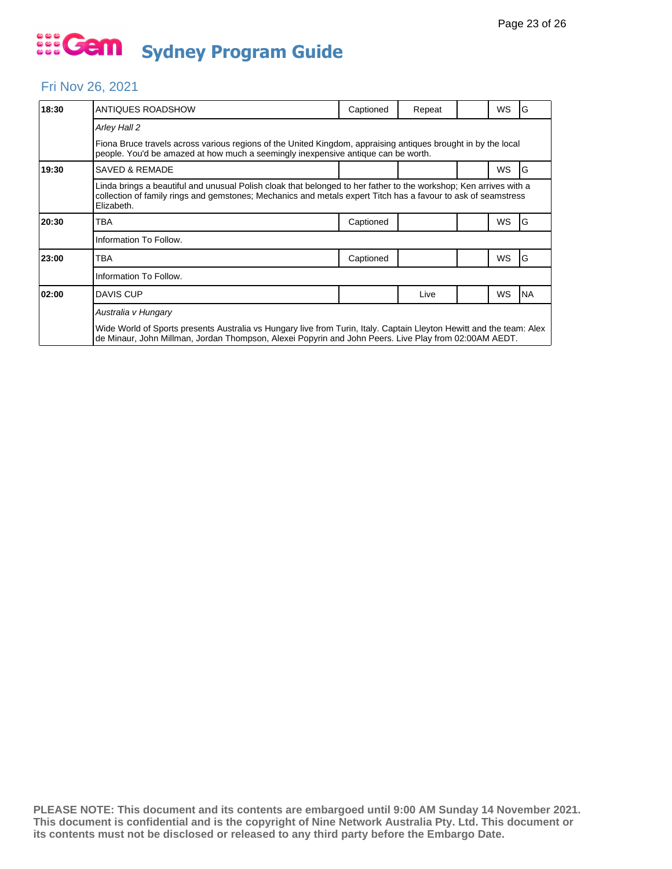#### Fri Nov 26, 2021

| 18:30 | ANTIQUES ROADSHOW                                                                                                                                                                                                                                | Captioned | Repeat |  | WS | G         |  |  |  |
|-------|--------------------------------------------------------------------------------------------------------------------------------------------------------------------------------------------------------------------------------------------------|-----------|--------|--|----|-----------|--|--|--|
|       | Arley Hall 2                                                                                                                                                                                                                                     |           |        |  |    |           |  |  |  |
|       | Fiona Bruce travels across various regions of the United Kingdom, appraising antiques brought in by the local<br>people. You'd be amazed at how much a seemingly inexpensive antique can be worth.                                               |           |        |  |    |           |  |  |  |
| 19:30 | <b>SAVED &amp; REMADE</b>                                                                                                                                                                                                                        |           |        |  | WS | G         |  |  |  |
|       | Linda brings a beautiful and unusual Polish cloak that belonged to her father to the workshop; Ken arrives with a<br>collection of family rings and gemstones; Mechanics and metals expert Titch has a favour to ask of seamstress<br>Elizabeth. |           |        |  |    |           |  |  |  |
| 20:30 | TBA                                                                                                                                                                                                                                              | Captioned |        |  | WS | G         |  |  |  |
|       | Information To Follow.                                                                                                                                                                                                                           |           |        |  |    |           |  |  |  |
| 23:00 | TBA                                                                                                                                                                                                                                              | Captioned |        |  | WS | IG        |  |  |  |
|       | Information To Follow.                                                                                                                                                                                                                           |           |        |  |    |           |  |  |  |
| 02:00 | <b>DAVIS CUP</b>                                                                                                                                                                                                                                 |           | Live   |  | WS | <b>NA</b> |  |  |  |
|       | Australia v Hungary                                                                                                                                                                                                                              |           |        |  |    |           |  |  |  |
|       | Wide World of Sports presents Australia vs Hungary live from Turin, Italy. Captain Lleyton Hewitt and the team: Alex<br>de Minaur, John Millman, Jordan Thompson, Alexei Popyrin and John Peers. Live Play from 02:00AM AEDT.                    |           |        |  |    |           |  |  |  |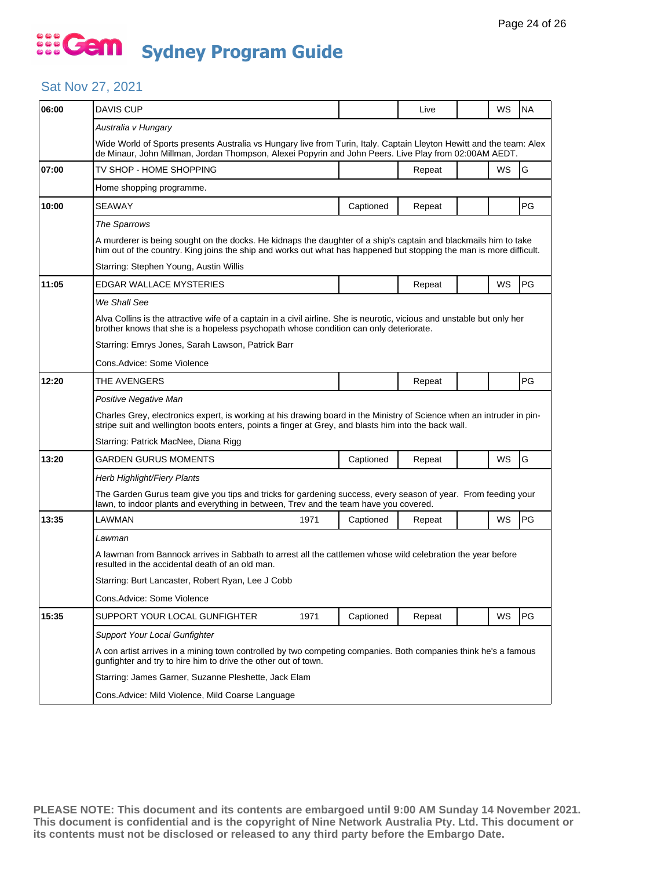#### Sat Nov 27, 2021

| 06:00 | <b>DAVIS CUP</b>                                                                                                                                                                                                                       |                                                   |           | Live   |  | WS        | <b>NA</b> |  |  |  |  |
|-------|----------------------------------------------------------------------------------------------------------------------------------------------------------------------------------------------------------------------------------------|---------------------------------------------------|-----------|--------|--|-----------|-----------|--|--|--|--|
|       | Australia v Hungary                                                                                                                                                                                                                    |                                                   |           |        |  |           |           |  |  |  |  |
|       | Wide World of Sports presents Australia vs Hungary live from Turin, Italy. Captain Lleyton Hewitt and the team: Alex<br>de Minaur, John Millman, Jordan Thompson, Alexei Popyrin and John Peers. Live Play from 02:00AM AEDT.          |                                                   |           |        |  |           |           |  |  |  |  |
| 07:00 | TV SHOP - HOME SHOPPING                                                                                                                                                                                                                |                                                   |           | Repeat |  | WS        | G         |  |  |  |  |
|       | Home shopping programme.                                                                                                                                                                                                               |                                                   |           |        |  |           |           |  |  |  |  |
| 10:00 | <b>SEAWAY</b>                                                                                                                                                                                                                          |                                                   | Captioned | Repeat |  |           | PG        |  |  |  |  |
|       | The Sparrows                                                                                                                                                                                                                           |                                                   |           |        |  |           |           |  |  |  |  |
|       | A murderer is being sought on the docks. He kidnaps the daughter of a ship's captain and blackmails him to take<br>him out of the country. King joins the ship and works out what has happened but stopping the man is more difficult. |                                                   |           |        |  |           |           |  |  |  |  |
|       | Starring: Stephen Young, Austin Willis                                                                                                                                                                                                 |                                                   |           |        |  |           |           |  |  |  |  |
| 11:05 | EDGAR WALLACE MYSTERIES                                                                                                                                                                                                                |                                                   |           | Repeat |  | WS        | PG        |  |  |  |  |
|       | We Shall See                                                                                                                                                                                                                           |                                                   |           |        |  |           |           |  |  |  |  |
|       | Alva Collins is the attractive wife of a captain in a civil airline. She is neurotic, vicious and unstable but only her<br>brother knows that she is a hopeless psychopath whose condition can only deteriorate.                       |                                                   |           |        |  |           |           |  |  |  |  |
|       |                                                                                                                                                                                                                                        | Starring: Emrys Jones, Sarah Lawson, Patrick Barr |           |        |  |           |           |  |  |  |  |
|       | Cons.Advice: Some Violence                                                                                                                                                                                                             |                                                   |           |        |  |           |           |  |  |  |  |
| 12:20 | THE AVENGERS                                                                                                                                                                                                                           |                                                   |           | Repeat |  |           | PG        |  |  |  |  |
|       | Positive Negative Man                                                                                                                                                                                                                  |                                                   |           |        |  |           |           |  |  |  |  |
|       | Charles Grey, electronics expert, is working at his drawing board in the Ministry of Science when an intruder in pin-<br>stripe suit and wellington boots enters, points a finger at Grey, and blasts him into the back wall.          |                                                   |           |        |  |           |           |  |  |  |  |
|       | Starring: Patrick MacNee, Diana Rigg                                                                                                                                                                                                   |                                                   |           |        |  |           |           |  |  |  |  |
| 13:20 | GARDEN GURUS MOMENTS                                                                                                                                                                                                                   |                                                   | Captioned | Repeat |  | WS        | G         |  |  |  |  |
|       | Herb Highlight/Fiery Plants                                                                                                                                                                                                            |                                                   |           |        |  |           |           |  |  |  |  |
|       | The Garden Gurus team give you tips and tricks for gardening success, every season of year. From feeding your<br>lawn, to indoor plants and everything in between, Trev and the team have you covered.                                 |                                                   |           |        |  |           |           |  |  |  |  |
| 13:35 | LAWMAN                                                                                                                                                                                                                                 | 1971                                              | Captioned | Repeat |  | WS        | PG        |  |  |  |  |
|       | Lawman                                                                                                                                                                                                                                 |                                                   |           |        |  |           |           |  |  |  |  |
|       | A lawman from Bannock arrives in Sabbath to arrest all the cattlemen whose wild celebration the year before<br>resulted in the accidental death of an old man.                                                                         |                                                   |           |        |  |           |           |  |  |  |  |
|       | Starring: Burt Lancaster, Robert Ryan, Lee J Cobb                                                                                                                                                                                      |                                                   |           |        |  |           |           |  |  |  |  |
|       | Cons.Advice: Some Violence                                                                                                                                                                                                             |                                                   |           |        |  |           |           |  |  |  |  |
| 15:35 | SUPPORT YOUR LOCAL GUNFIGHTER                                                                                                                                                                                                          | 1971                                              | Captioned | Repeat |  | <b>WS</b> | PG        |  |  |  |  |
|       | Support Your Local Gunfighter                                                                                                                                                                                                          |                                                   |           |        |  |           |           |  |  |  |  |
|       | A con artist arrives in a mining town controlled by two competing companies. Both companies think he's a famous<br>gunfighter and try to hire him to drive the other out of town.                                                      |                                                   |           |        |  |           |           |  |  |  |  |
|       | Starring: James Garner, Suzanne Pleshette, Jack Elam                                                                                                                                                                                   |                                                   |           |        |  |           |           |  |  |  |  |
|       |                                                                                                                                                                                                                                        |                                                   |           |        |  |           |           |  |  |  |  |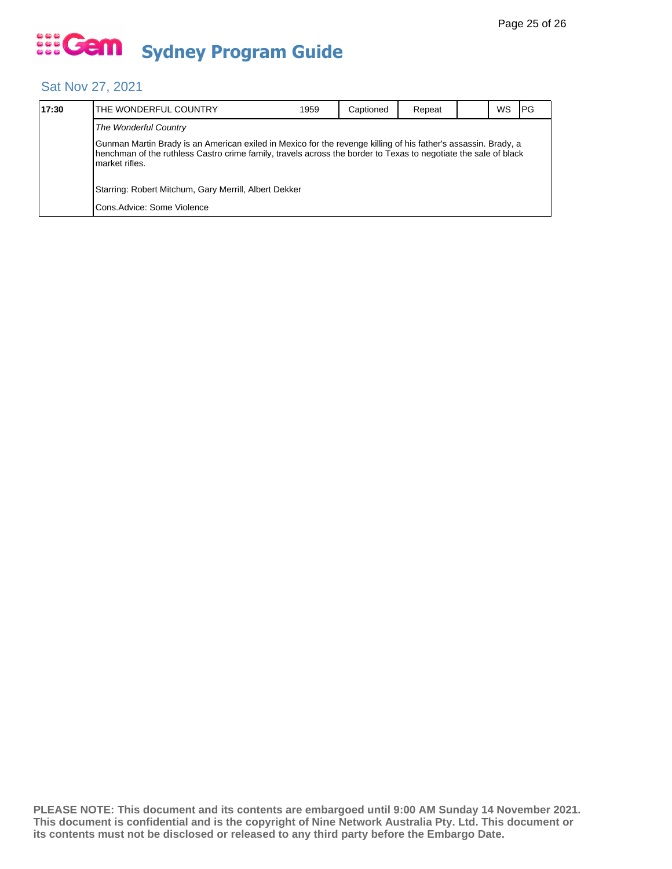#### Sat Nov 27, 2021

| 17:30 | THE WONDERFUL COUNTRY                                                                                                                                                                                                                               | 1959 | Captioned | Repeat |  | WS | IPG |  |  |  |
|-------|-----------------------------------------------------------------------------------------------------------------------------------------------------------------------------------------------------------------------------------------------------|------|-----------|--------|--|----|-----|--|--|--|
|       | The Wonderful Country                                                                                                                                                                                                                               |      |           |        |  |    |     |  |  |  |
|       | Gunman Martin Brady is an American exiled in Mexico for the revenge killing of his father's assassin. Brady, a<br>henchman of the ruthless Castro crime family, travels across the border to Texas to negotiate the sale of black<br>market rifles. |      |           |        |  |    |     |  |  |  |
|       | Starring: Robert Mitchum, Gary Merrill, Albert Dekker                                                                                                                                                                                               |      |           |        |  |    |     |  |  |  |
|       | Cons.Advice: Some Violence                                                                                                                                                                                                                          |      |           |        |  |    |     |  |  |  |